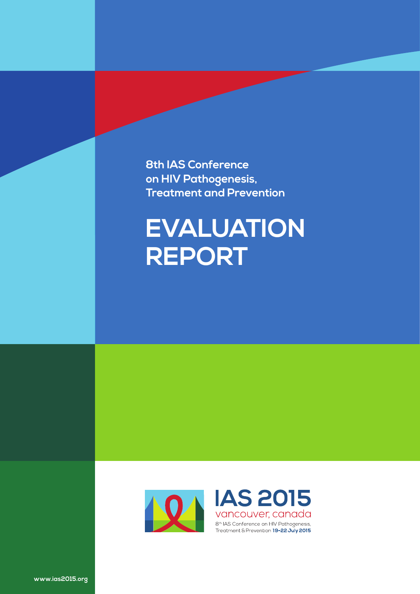**8th IAS Conference on HIV Pathogenesis, Treatment and Prevention**

# **EVALUATION REPORT**



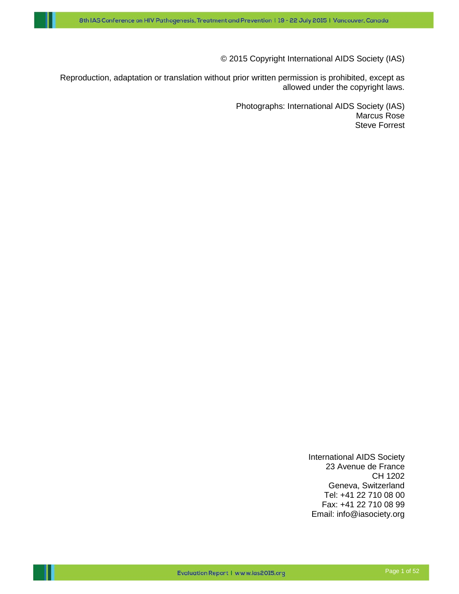© 2015 Copyright International AIDS Society (IAS)

Reproduction, adaptation or translation without prior written permission is prohibited, except as allowed under the copyright laws.

> Photographs: International AIDS Society (IAS) Marcus Rose Steve Forrest

> > International AIDS Society 23 Avenue de France CH 1202 Geneva, Switzerland Tel: +41 22 710 08 00 Fax: +41 22 710 08 99 Email: info@iasociety.org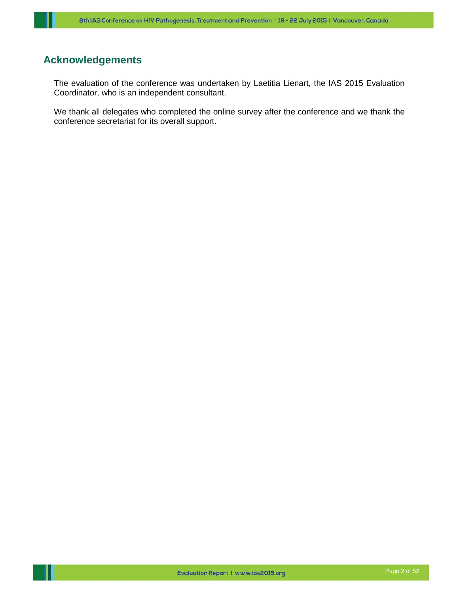# <span id="page-2-0"></span>**Acknowledgements**

The evaluation of the conference was undertaken by Laetitia Lienart, the IAS 2015 Evaluation Coordinator, who is an independent consultant.

We thank all delegates who completed the online survey after the conference and we thank the conference secretariat for its overall support.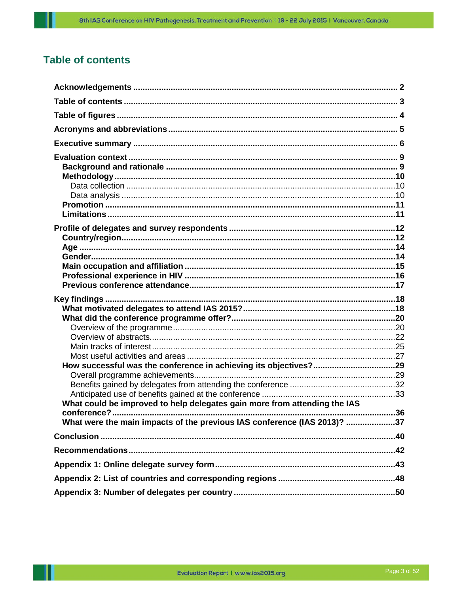# <span id="page-3-0"></span>**Table of contents**

| What could be improved to help delegates gain more from attending the IAS |  |
|---------------------------------------------------------------------------|--|
|                                                                           |  |
| What were the main impacts of the previous IAS conference (IAS 2013)? 37  |  |
|                                                                           |  |
|                                                                           |  |
|                                                                           |  |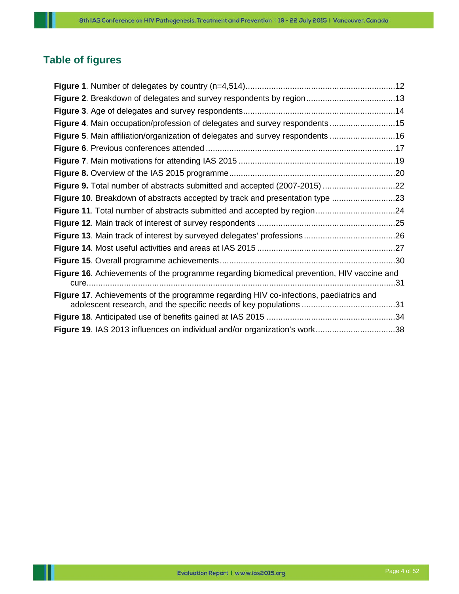# <span id="page-4-0"></span>**Table of figures**

| Figure 4. Main occupation/profession of delegates and survey respondents15                       |     |
|--------------------------------------------------------------------------------------------------|-----|
| Figure 5. Main affiliation/organization of delegates and survey respondents 16                   |     |
|                                                                                                  |     |
|                                                                                                  |     |
|                                                                                                  |     |
| Figure 9. Total number of abstracts submitted and accepted (2007-2015) 22                        |     |
| Figure 10. Breakdown of abstracts accepted by track and presentation type 23                     |     |
|                                                                                                  |     |
|                                                                                                  |     |
|                                                                                                  |     |
|                                                                                                  |     |
|                                                                                                  |     |
| <b>Figure 16.</b> Achievements of the programme regarding biomedical prevention, HIV vaccine and | .31 |
| <b>Figure 17.</b> Achievements of the programme regarding HIV co-infections, paediatrics and     |     |
|                                                                                                  |     |
|                                                                                                  |     |
| Figure 19. IAS 2013 influences on individual and/or organization's work38                        |     |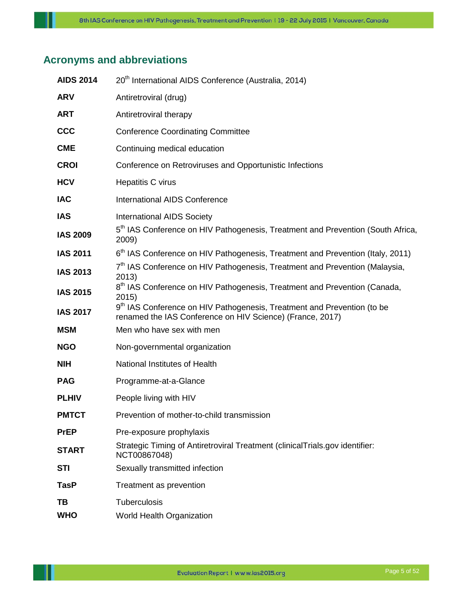# <span id="page-5-0"></span>**Acronyms and abbreviations**

| <b>AIDS 2014</b> | 20 <sup>th</sup> International AIDS Conference (Australia, 2014)                                                                                 |
|------------------|--------------------------------------------------------------------------------------------------------------------------------------------------|
| <b>ARV</b>       | Antiretroviral (drug)                                                                                                                            |
| <b>ART</b>       | Antiretroviral therapy                                                                                                                           |
| <b>CCC</b>       | <b>Conference Coordinating Committee</b>                                                                                                         |
| <b>CME</b>       | Continuing medical education                                                                                                                     |
| <b>CROI</b>      | Conference on Retroviruses and Opportunistic Infections                                                                                          |
| <b>HCV</b>       | Hepatitis C virus                                                                                                                                |
| <b>IAC</b>       | <b>International AIDS Conference</b>                                                                                                             |
| <b>IAS</b>       | <b>International AIDS Society</b>                                                                                                                |
| <b>IAS 2009</b>  | 5 <sup>th</sup> IAS Conference on HIV Pathogenesis, Treatment and Prevention (South Africa,<br>2009)                                             |
| <b>IAS 2011</b>  | 6 <sup>th</sup> IAS Conference on HIV Pathogenesis, Treatment and Prevention (Italy, 2011)                                                       |
| <b>IAS 2013</b>  | 7 <sup>th</sup> IAS Conference on HIV Pathogenesis, Treatment and Prevention (Malaysia,<br>2013)                                                 |
| <b>IAS 2015</b>  | 8 <sup>th</sup> IAS Conference on HIV Pathogenesis, Treatment and Prevention (Canada,<br>2015)                                                   |
| <b>IAS 2017</b>  | 9 <sup>th</sup> IAS Conference on HIV Pathogenesis, Treatment and Prevention (to be<br>renamed the IAS Conference on HIV Science) (France, 2017) |
| <b>MSM</b>       | Men who have sex with men                                                                                                                        |
| <b>NGO</b>       | Non-governmental organization                                                                                                                    |
| <b>NIH</b>       | National Institutes of Health                                                                                                                    |
| <b>PAG</b>       | Programme-at-a-Glance                                                                                                                            |
| <b>PLHIV</b>     | People living with HIV                                                                                                                           |
| <b>PMTCT</b>     | Prevention of mother-to-child transmission                                                                                                       |
| <b>PrEP</b>      | Pre-exposure prophylaxis                                                                                                                         |
| <b>START</b>     | Strategic Timing of Antiretroviral Treatment (clinicalTrials.gov identifier:<br>NCT00867048)                                                     |
| <b>STI</b>       | Sexually transmitted infection                                                                                                                   |
| <b>TasP</b>      | Treatment as prevention                                                                                                                          |
| TB               | Tuberculosis                                                                                                                                     |
| <b>WHO</b>       | World Health Organization                                                                                                                        |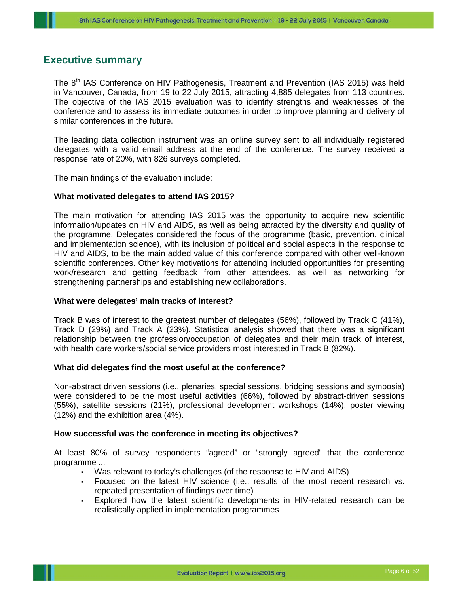## <span id="page-6-0"></span>**Executive summary**

The 8<sup>th</sup> IAS Conference on HIV Pathogenesis, Treatment and Prevention (IAS 2015) was held in Vancouver, Canada, from 19 to 22 July 2015, attracting 4,885 delegates from 113 countries. The objective of the IAS 2015 evaluation was to identify strengths and weaknesses of the conference and to assess its immediate outcomes in order to improve planning and delivery of similar conferences in the future.

The leading data collection instrument was an online survey sent to all individually registered delegates with a valid email address at the end of the conference. The survey received a response rate of 20%, with 826 surveys completed.

The main findings of the evaluation include:

#### **What motivated delegates to attend IAS 2015?**

The main motivation for attending IAS 2015 was the opportunity to acquire new scientific information/updates on HIV and AIDS, as well as being attracted by the diversity and quality of the programme. Delegates considered the focus of the programme (basic, prevention, clinical and implementation science), with its inclusion of political and social aspects in the response to HIV and AIDS, to be the main added value of this conference compared with other well-known scientific conferences. Other key motivations for attending included opportunities for presenting work/research and getting feedback from other attendees, as well as networking for strengthening partnerships and establishing new collaborations.

#### **What were delegates' main tracks of interest?**

Track B was of interest to the greatest number of delegates (56%), followed by Track C (41%), Track D (29%) and Track A (23%). Statistical analysis showed that there was a significant relationship between the profession/occupation of delegates and their main track of interest, with health care workers/social service providers most interested in Track B (82%).

#### **What did delegates find the most useful at the conference?**

Non-abstract driven sessions (i.e., plenaries, special sessions, bridging sessions and symposia) were considered to be the most useful activities (66%), followed by abstract-driven sessions (55%), satellite sessions (21%), professional development workshops (14%), poster viewing (12%) and the exhibition area (4%).

#### **How successful was the conference in meeting its objectives?**

At least 80% of survey respondents "agreed" or "strongly agreed" that the conference programme ...

- Was relevant to today's challenges (of the response to HIV and AIDS)
- Focused on the latest HIV science (i.e., results of the most recent research vs. repeated presentation of findings over time)
- Explored how the latest scientific developments in HIV-related research can be realistically applied in implementation programmes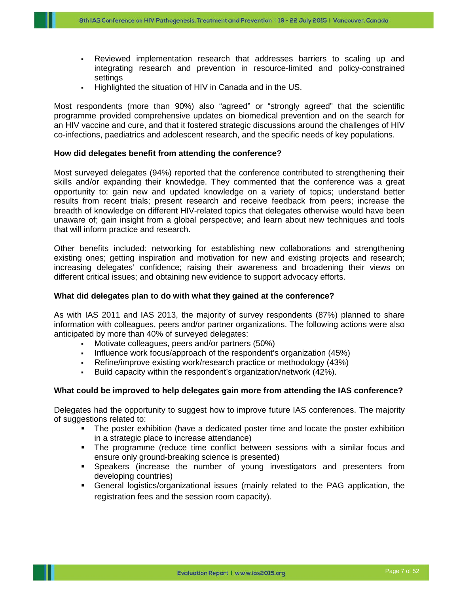- Reviewed implementation research that addresses barriers to scaling up and integrating research and prevention in resource-limited and policy-constrained settings
- Highlighted the situation of HIV in Canada and in the US.

Most respondents (more than 90%) also "agreed" or "strongly agreed" that the scientific programme provided comprehensive updates on biomedical prevention and on the search for an HIV vaccine and cure, and that it fostered strategic discussions around the challenges of HIV co-infections, paediatrics and adolescent research, and the specific needs of key populations.

#### **How did delegates benefit from attending the conference?**

Most surveyed delegates (94%) reported that the conference contributed to strengthening their skills and/or expanding their knowledge. They commented that the conference was a great opportunity to: gain new and updated knowledge on a variety of topics; understand better results from recent trials; present research and receive feedback from peers; increase the breadth of knowledge on different HIV-related topics that delegates otherwise would have been unaware of; gain insight from a global perspective; and learn about new techniques and tools that will inform practice and research.

Other benefits included: networking for establishing new collaborations and strengthening existing ones; getting inspiration and motivation for new and existing projects and research; increasing delegates' confidence; raising their awareness and broadening their views on different critical issues; and obtaining new evidence to support advocacy efforts.

#### **What did delegates plan to do with what they gained at the conference?**

As with IAS 2011 and IAS 2013, the majority of survey respondents (87%) planned to share information with colleagues, peers and/or partner organizations. The following actions were also anticipated by more than 40% of surveyed delegates:

- Motivate colleagues, peers and/or partners (50%)
- Influence work focus/approach of the respondent's organization (45%)
- Refine/improve existing work/research practice or methodology (43%)
- Build capacity within the respondent's organization/network (42%).

#### **What could be improved to help delegates gain more from attending the IAS conference?**

Delegates had the opportunity to suggest how to improve future IAS conferences. The majority of suggestions related to:

- The poster exhibition (have a dedicated poster time and locate the poster exhibition in a strategic place to increase attendance)
- The programme (reduce time conflict between sessions with a similar focus and ensure only ground-breaking science is presented)
- Speakers (increase the number of young investigators and presenters from developing countries)
- General logistics/organizational issues (mainly related to the PAG application, the registration fees and the session room capacity).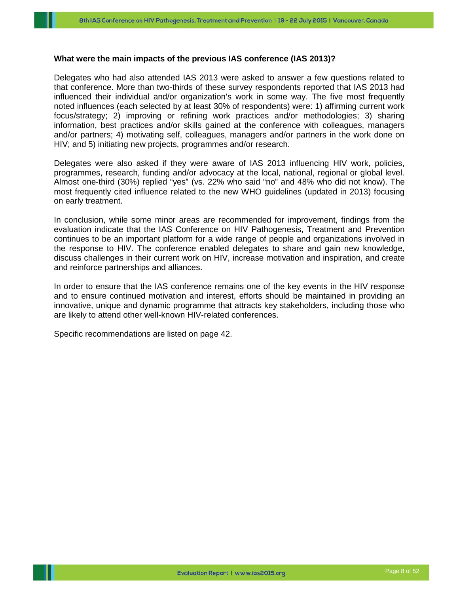#### **What were the main impacts of the previous IAS conference (IAS 2013)?**

Delegates who had also attended IAS 2013 were asked to answer a few questions related to that conference. More than two-thirds of these survey respondents reported that IAS 2013 had influenced their individual and/or organization's work in some way. The five most frequently noted influences (each selected by at least 30% of respondents) were: 1) affirming current work focus/strategy; 2) improving or refining work practices and/or methodologies; 3) sharing information, best practices and/or skills gained at the conference with colleagues, managers and/or partners; 4) motivating self, colleagues, managers and/or partners in the work done on HIV; and 5) initiating new projects, programmes and/or research.

Delegates were also asked if they were aware of IAS 2013 influencing HIV work, policies, programmes, research, funding and/or advocacy at the local, national, regional or global level. Almost one-third (30%) replied "yes" (vs. 22% who said "no" and 48% who did not know). The most frequently cited influence related to the new WHO guidelines (updated in 2013) focusing on early treatment.

In conclusion, while some minor areas are recommended for improvement, findings from the evaluation indicate that the IAS Conference on HIV Pathogenesis, Treatment and Prevention continues to be an important platform for a wide range of people and organizations involved in the response to HIV. The conference enabled delegates to share and gain new knowledge, discuss challenges in their current work on HIV, increase motivation and inspiration, and create and reinforce partnerships and alliances.

In order to ensure that the IAS conference remains one of the key events in the HIV response and to ensure continued motivation and interest, efforts should be maintained in providing an innovative, unique and dynamic programme that attracts key stakeholders, including those who are likely to attend other well-known HIV-related conferences.

Specific recommendations are listed on page 42.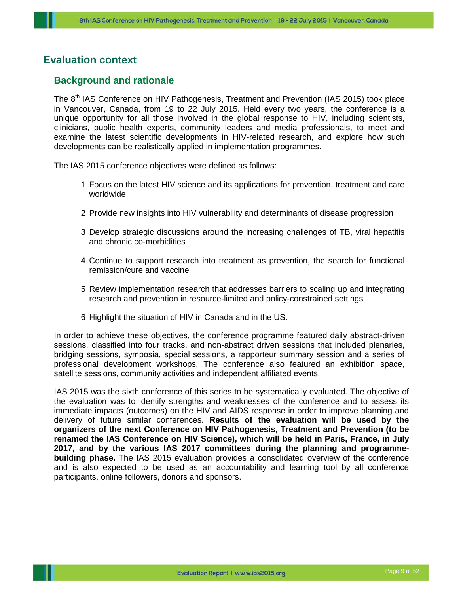## <span id="page-9-0"></span>**Evaluation context**

## <span id="page-9-1"></span>**Background and rationale**

The 8<sup>th</sup> IAS Conference on HIV Pathogenesis, Treatment and Prevention (IAS 2015) took place in Vancouver, Canada, from 19 to 22 July 2015. Held every two years, the conference is a unique opportunity for all those involved in the global response to HIV, including scientists, clinicians, public health experts, community leaders and media professionals, to meet and examine the latest scientific developments in HIV-related research, and explore how such developments can be realistically applied in implementation programmes.

The IAS 2015 conference objectives were defined as follows:

- 1 Focus on the latest HIV science and its applications for prevention, treatment and care worldwide
- 2 Provide new insights into HIV vulnerability and determinants of disease progression
- 3 Develop strategic discussions around the increasing challenges of TB, viral hepatitis and chronic co-morbidities
- 4 Continue to support research into treatment as prevention, the search for functional remission/cure and vaccine
- 5 Review implementation research that addresses barriers to scaling up and integrating research and prevention in resource-limited and policy-constrained settings
- 6 Highlight the situation of HIV in Canada and in the US.

In order to achieve these objectives, the conference programme featured daily abstract-driven sessions, classified into four tracks, and non-abstract driven sessions that included plenaries, bridging sessions, symposia, special sessions, a rapporteur summary session and a series of professional development workshops. The conference also featured an exhibition space, satellite sessions, community activities and independent affiliated events.

<span id="page-9-2"></span>IAS 2015 was the sixth conference of this series to be systematically evaluated. The objective of the evaluation was to identify strengths and weaknesses of the conference and to assess its immediate impacts (outcomes) on the HIV and AIDS response in order to improve planning and delivery of future similar conferences. **Results of the evaluation will be used by the organizers of the next Conference on HIV Pathogenesis, Treatment and Prevention (to be renamed the IAS Conference on HIV Science), which will be held in Paris, France, in July 2017, and by the various IAS 2017 committees during the planning and programmebuilding phase.** The IAS 2015 evaluation provides a consolidated overview of the conference and is also expected to be used as an accountability and learning tool by all conference participants, online followers, donors and sponsors.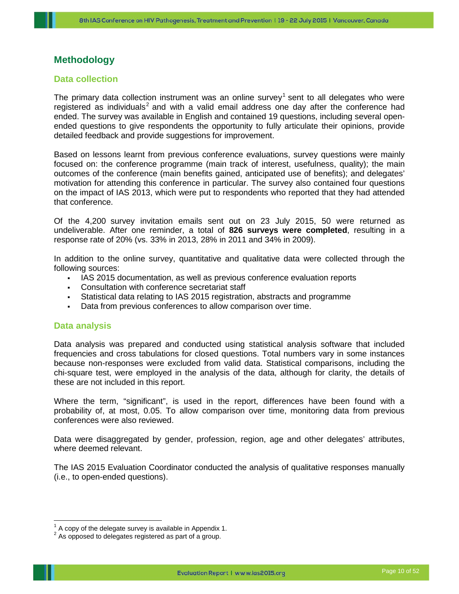## **Methodology**

#### <span id="page-10-0"></span>**Data collection**

The primary data collection instrument was an online survey<sup>[1](#page-10-2)</sup> sent to all delegates who were registered as individuals<sup>[2](#page-10-3)</sup> and with a valid email address one day after the conference had ended. The survey was available in English and contained 19 questions, including several openended questions to give respondents the opportunity to fully articulate their opinions, provide detailed feedback and provide suggestions for improvement.

Based on lessons learnt from previous conference evaluations, survey questions were mainly focused on: the conference programme (main track of interest, usefulness, quality); the main outcomes of the conference (main benefits gained, anticipated use of benefits); and delegates' motivation for attending this conference in particular. The survey also contained four questions on the impact of IAS 2013, which were put to respondents who reported that they had attended that conference.

Of the 4,200 survey invitation emails sent out on 23 July 2015, 50 were returned as undeliverable. After one reminder, a total of **826 surveys were completed**, resulting in a response rate of 20% (vs. 33% in 2013, 28% in 2011 and 34% in 2009).

In addition to the online survey, quantitative and qualitative data were collected through the following sources:

- IAS 2015 documentation, as well as previous conference evaluation reports
- Consultation with conference secretariat staff
- Statistical data relating to IAS 2015 registration, abstracts and programme
- Data from previous conferences to allow comparison over time.

#### <span id="page-10-1"></span>**Data analysis**

Data analysis was prepared and conducted using statistical analysis software that included frequencies and cross tabulations for closed questions. Total numbers vary in some instances because non-responses were excluded from valid data. Statistical comparisons, including the chi-square test, were employed in the analysis of the data, although for clarity, the details of these are not included in this report.

Where the term, "significant", is used in the report, differences have been found with a probability of, at most, 0.05. To allow comparison over time, monitoring data from previous conferences were also reviewed.

Data were disaggregated by gender, profession, region, age and other delegates' attributes, where deemed relevant.

The IAS 2015 Evaluation Coordinator conducted the analysis of qualitative responses manually (i.e., to open-ended questions).

<span id="page-10-2"></span> $1$  A copy of the delegate survey is available in Appendix 1.<br>
<sup>2</sup> As opposed to delegates registered as part of a group.

<span id="page-10-3"></span>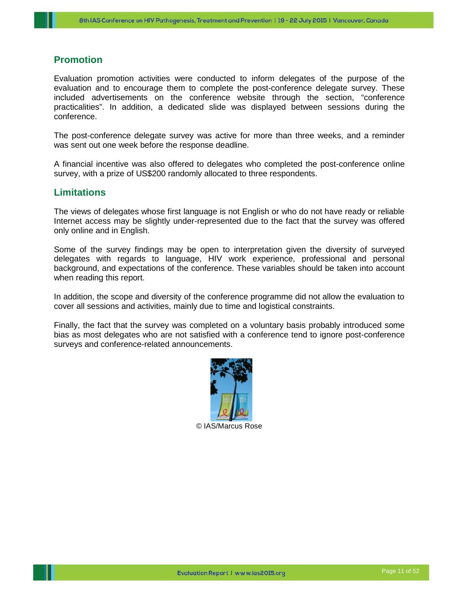## <span id="page-11-0"></span>**Promotion**

Evaluation promotion activities were conducted to inform delegates of the purpose of the evaluation and to encourage them to complete the post-conference delegate survey. These included advertisements on the conference website through the section, "conference practicalities". In addition, a dedicated slide was displayed between sessions during the conference.

The post-conference delegate survey was active for more than three weeks, and a reminder was sent out one week before the response deadline.

A financial incentive was also offered to delegates who completed the post-conference online survey, with a prize of US\$200 randomly allocated to three respondents.

## <span id="page-11-1"></span>**Limitations**

The views of delegates whose first language is not English or who do not have ready or reliable Internet access may be slightly under-represented due to the fact that the survey was offered only online and in English.

Some of the survey findings may be open to interpretation given the diversity of surveyed delegates with regards to language, HIV work experience, professional and personal background, and expectations of the conference. These variables should be taken into account when reading this report.

In addition, the scope and diversity of the conference programme did not allow the evaluation to cover all sessions and activities, mainly due to time and logistical constraints.

Finally, the fact that the survey was completed on a voluntary basis probably introduced some bias as most delegates who are not satisfied with a conference tend to ignore post-conference surveys and conference-related announcements.

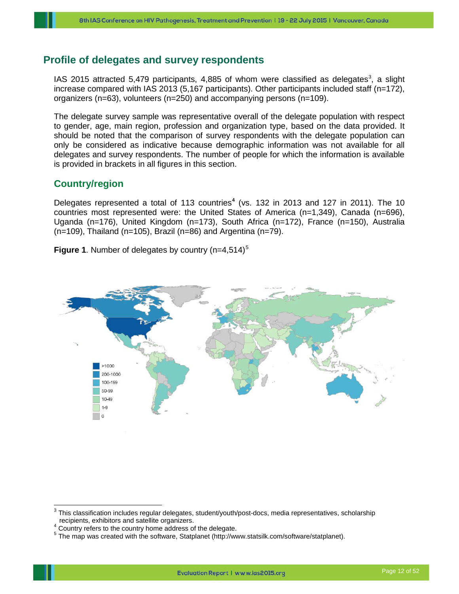## <span id="page-12-0"></span>**Profile of delegates and survey respondents**

IAS 2015 attracted 5,479 participants, 4,885 of whom were classified as delegates<sup>[3](#page-12-2)</sup>, a slight increase compared with IAS 2013 (5,167 participants). Other participants included staff (n=172), organizers (n=63), volunteers (n=250) and accompanying persons (n=109).

The delegate survey sample was representative overall of the delegate population with respect to gender, age, main region, profession and organization type, based on the data provided. It should be noted that the comparison of survey respondents with the delegate population can only be considered as indicative because demographic information was not available for all delegates and survey respondents. The number of people for which the information is available is provided in brackets in all figures in this section.

## <span id="page-12-1"></span>**Country/region**

Delegates represented a total of 113 countries**[4](#page-12-3)** (vs. 132 in 2013 and 127 in 2011). The 10 countries most represented were: the United States of America (n=1,349), Canada (n=696), Uganda (n=176), United Kingdom (n=173), South Africa (n=172), France (n=150), Australia  $(n=109)$ , Thailand  $(n=105)$ , Brazil  $(n=86)$  and Argentina  $(n=79)$ .



Figure 1. Number of delegates by country (n=4,[5](#page-12-4)14)<sup>5</sup>

<span id="page-12-2"></span><sup>&</sup>lt;sup>3</sup> This classification includes regular delegates, student/youth/post-docs, media representatives, scholarship recipients, exhibitors and satellite organizers.<br><sup>4</sup> Country refers to the country home address of the delegate.<br><sup>5</sup> The map was created with the software, Statplanet (http://www.statsilk.com/software/statplanet).

<span id="page-12-4"></span><span id="page-12-3"></span>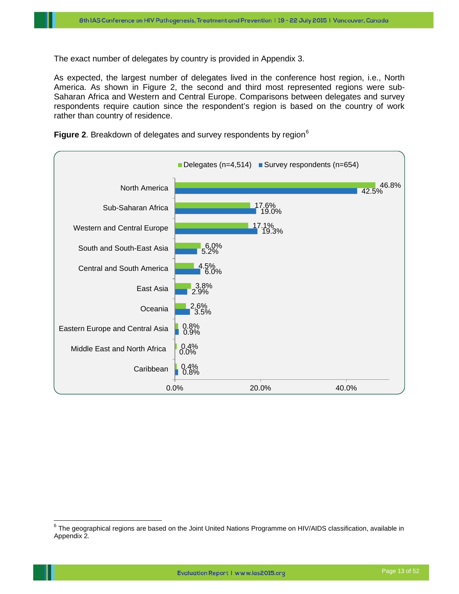The exact number of delegates by country is provided in Appendix 3.

As expected, the largest number of delegates lived in the conference host region, i.e., North America. As shown in Figure 2, the second and third most represented regions were sub-Saharan Africa and Western and Central Europe. Comparisons between delegates and survey respondents require caution since the respondent's region is based on the country of work rather than country of residence.



Figure 2. Breakdown of delegates and survey respondents by region<sup>[6](#page-13-1)</sup>

<span id="page-13-1"></span><span id="page-13-0"></span> $6$  The geographical regions are based on the Joint United Nations Programme on HIV/AIDS classification, available in Appendix 2*.*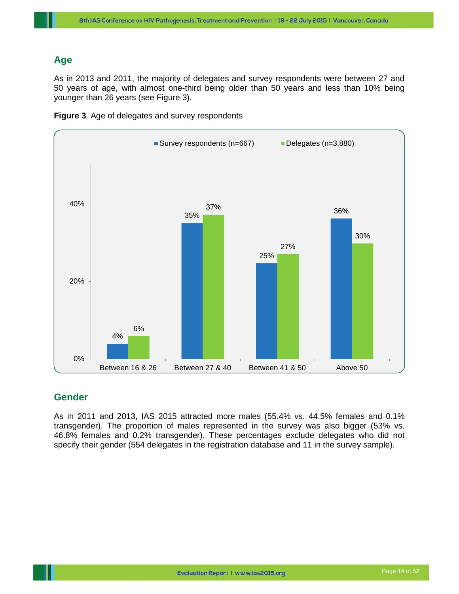## **Age**

As in 2013 and 2011, the majority of delegates and survey respondents were between 27 and 50 years of age, with almost one-third being older than 50 years and less than 10% being younger than 26 years (see Figure 3).



**Figure 3**. Age of delegates and survey respondents

## <span id="page-14-0"></span>**Gender**

As in 2011 and 2013, IAS 2015 attracted more males (55.4% vs. 44.5% females and 0.1% transgender). The proportion of males represented in the survey was also bigger (53% vs. 46.8% females and 0.2% transgender). These percentages exclude delegates who did not specify their gender (554 delegates in the registration database and 11 in the survey sample).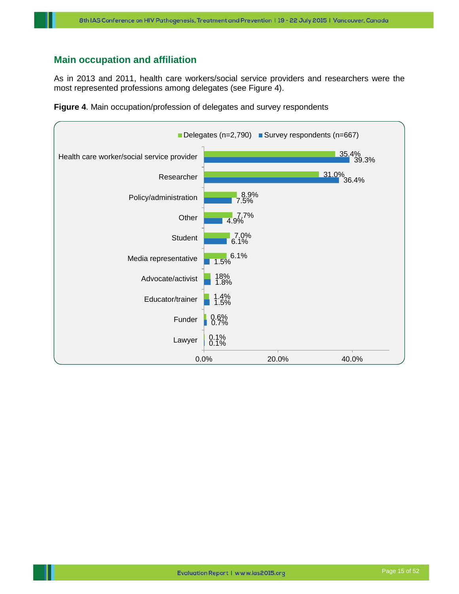## <span id="page-15-0"></span>**Main occupation and affiliation**

As in 2013 and 2011, health care workers/social service providers and researchers were the most represented professions among delegates (see Figure 4).



**Figure 4**. Main occupation/profession of delegates and survey respondents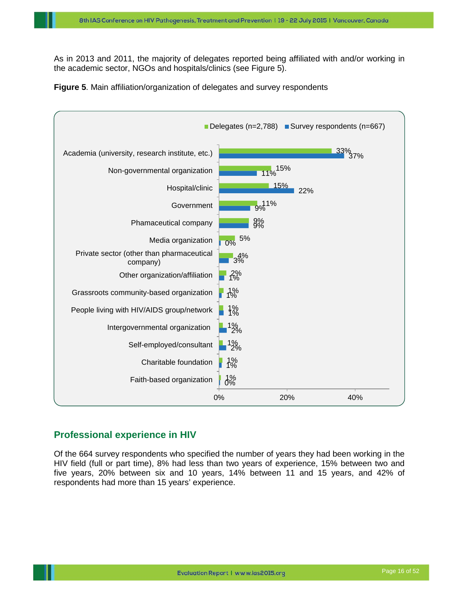As in 2013 and 2011, the majority of delegates reported being affiliated with and/or working in the academic sector, NGOs and hospitals/clinics (see Figure 5).





## <span id="page-16-0"></span>**Professional experience in HIV**

Of the 664 survey respondents who specified the number of years they had been working in the HIV field (full or part time), 8% had less than two years of experience, 15% between two and five years, 20% between six and 10 years, 14% between 11 and 15 years, and 42% of respondents had more than 15 years' experience.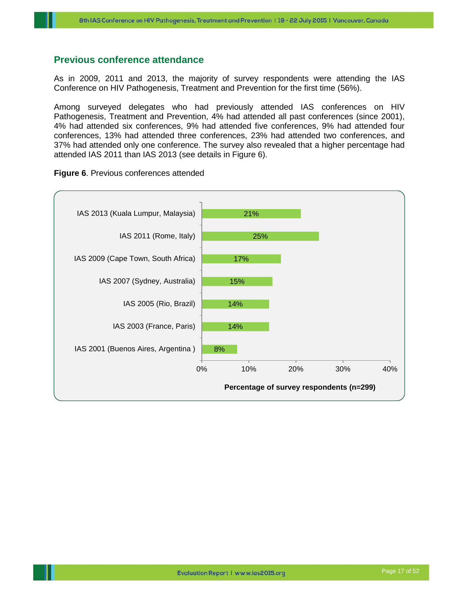#### <span id="page-17-0"></span>**Previous conference attendance**

As in 2009, 2011 and 2013, the majority of survey respondents were attending the IAS Conference on HIV Pathogenesis, Treatment and Prevention for the first time (56%).

Among surveyed delegates who had previously attended IAS conferences on HIV Pathogenesis, Treatment and Prevention, 4% had attended all past conferences (since 2001), 4% had attended six conferences, 9% had attended five conferences, 9% had attended four conferences, 13% had attended three conferences, 23% had attended two conferences, and 37% had attended only one conference. The survey also revealed that a higher percentage had attended IAS 2011 than IAS 2013 (see details in Figure 6).



#### **Figure 6**. Previous conferences attended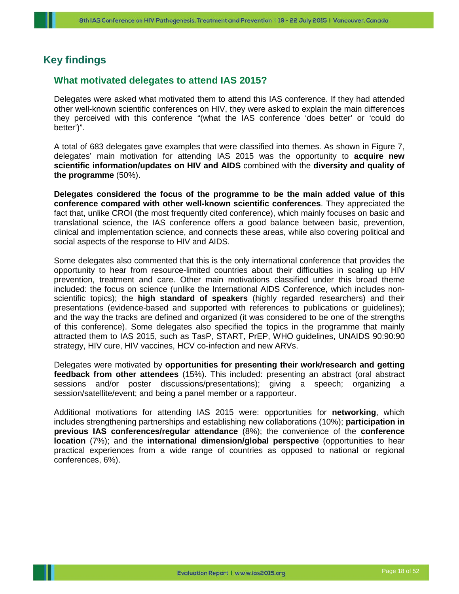## <span id="page-18-0"></span>**Key findings**

## <span id="page-18-1"></span>**What motivated delegates to attend IAS 2015?**

Delegates were asked what motivated them to attend this IAS conference. If they had attended other well-known scientific conferences on HIV, they were asked to explain the main differences they perceived with this conference "(what the IAS conference 'does better' or 'could do better')".

A total of 683 delegates gave examples that were classified into themes. As shown in Figure 7, delegates' main motivation for attending IAS 2015 was the opportunity to **acquire new scientific information/updates on HIV and AIDS** combined with the **diversity and quality of the programme** (50%).

**Delegates considered the focus of the programme to be the main added value of this conference compared with other well-known scientific conferences**. They appreciated the fact that, unlike CROI (the most frequently cited conference), which mainly focuses on basic and translational science, the IAS conference offers a good balance between basic, prevention, clinical and implementation science, and connects these areas, while also covering political and social aspects of the response to HIV and AIDS.

Some delegates also commented that this is the only international conference that provides the opportunity to hear from resource-limited countries about their difficulties in scaling up HIV prevention, treatment and care. Other main motivations classified under this broad theme included: the focus on science (unlike the International AIDS Conference, which includes nonscientific topics); the **high standard of speakers** (highly regarded researchers) and their presentations (evidence-based and supported with references to publications or guidelines); and the way the tracks are defined and organized (it was considered to be one of the strengths of this conference). Some delegates also specified the topics in the programme that mainly attracted them to IAS 2015, such as TasP, START, PrEP, WHO guidelines, UNAIDS 90:90:90 strategy, HIV cure, HIV vaccines, HCV co-infection and new ARVs.

Delegates were motivated by **opportunities for presenting their work/research and getting feedback from other attendees** (15%). This included: presenting an abstract (oral abstract sessions and/or poster discussions/presentations); giving a speech; organizing a session/satellite/event; and being a panel member or a rapporteur.

Additional motivations for attending IAS 2015 were: opportunities for **networking**, which includes strengthening partnerships and establishing new collaborations (10%); **participation in previous IAS conferences/regular attendance** (8%); the convenience of the **conference location** (7%); and the **international dimension/global perspective** (opportunities to hear practical experiences from a wide range of countries as opposed to national or regional conferences, 6%).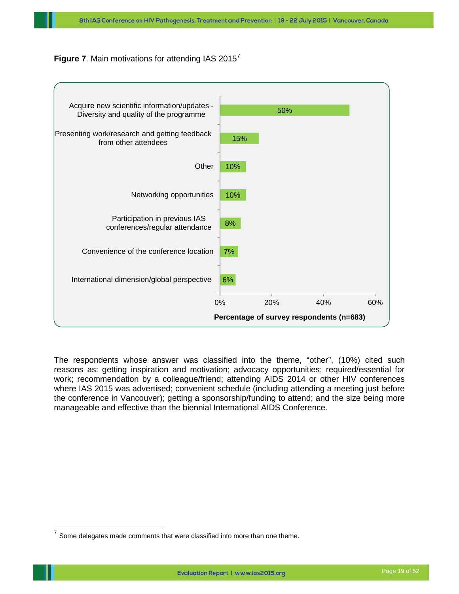



The respondents whose answer was classified into the theme, "other", (10%) cited such reasons as: getting inspiration and motivation; advocacy opportunities; required/essential for work; recommendation by a colleague/friend; attending AIDS 2014 or other HIV conferences where IAS 2015 was advertised; convenient schedule (including attending a meeting just before the conference in Vancouver); getting a sponsorship/funding to attend; and the size being more manageable and effective than the biennial International AIDS Conference.

<span id="page-19-0"></span> $7$  Some delegates made comments that were classified into more than one theme.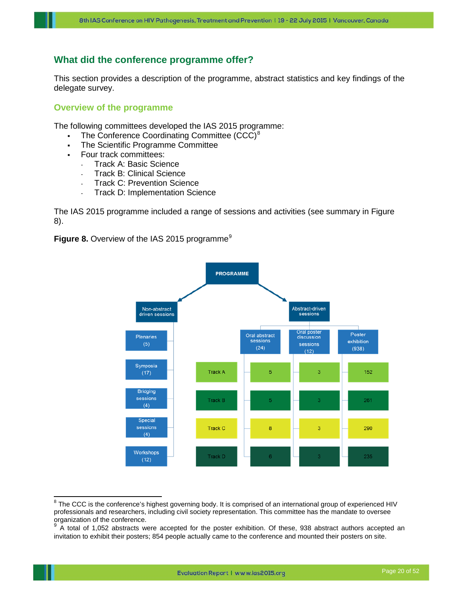## <span id="page-20-0"></span>**What did the conference programme offer?**

This section provides a description of the programme, abstract statistics and key findings of the delegate survey.

## <span id="page-20-1"></span>**Overview of the programme**

The following committees developed the IAS 2015 programme:

- The Conference Coordinating Committee (CCC)<sup>[8](#page-20-2)</sup>
- The Scientific Programme Committee
- **Four track committees:** 
	- Track A: Basic Science
	- Track B: Clinical Science
	- Track C: Prevention Science
	- Track D: Implementation Science

The IAS 2015 programme included a range of sessions and activities (see summary in Figure 8).

**Figure 8.** Overview of the IAS 2015 programme<sup>[9](#page-20-3)</sup>



<span id="page-20-2"></span> $8$  The CCC is the conference's highest governing body. It is comprised of an international group of experienced HIV professionals and researchers, including civil society representation. This committee has the mandate to oversee organization of the conference.

<span id="page-20-3"></span><sup>9</sup> A total of 1,052 abstracts were accepted for the poster exhibition. Of these, 938 abstract authors accepted an invitation to exhibit their posters; 854 people actually came to the conference and mounted their posters on site.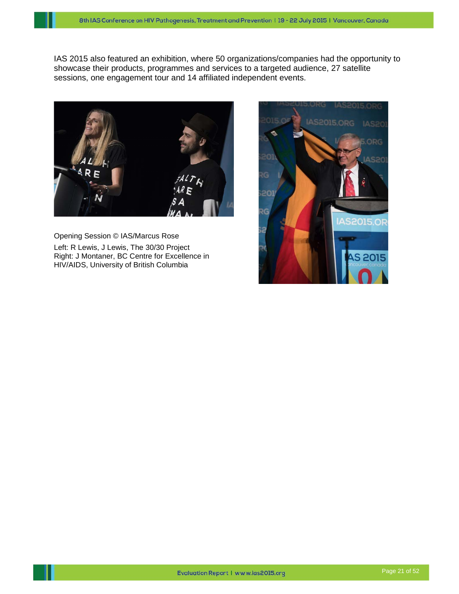IAS 2015 also featured an exhibition, where 50 organizations/companies had the opportunity to showcase their products, programmes and services to a targeted audience, 27 satellite sessions, one engagement tour and 14 affiliated independent events.



<span id="page-21-0"></span>Opening Session © IAS/Marcus Rose Left: R Lewis, J Lewis, The 30/30 Project Right: J Montaner, BC Centre for Excellence in HIV/AIDS, University of British Columbia

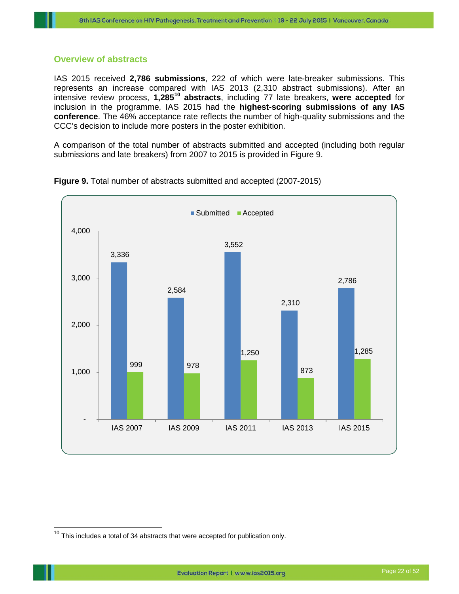## **Overview of abstracts**

IAS 2015 received **2,786 submissions**, 222 of which were late-breaker submissions. This represents an increase compared with IAS 2013 (2,310 abstract submissions). After an intensive review process, **1,285[10](#page-22-0) abstracts**, including 77 late breakers, **were accepted** for inclusion in the programme. IAS 2015 had the **highest-scoring submissions of any IAS conference**. The 46% acceptance rate reflects the number of high-quality submissions and the CCC's decision to include more posters in the poster exhibition.

A comparison of the total number of abstracts submitted and accepted (including both regular submissions and late breakers) from 2007 to 2015 is provided in Figure 9.





<span id="page-22-0"></span> $10$  This includes a total of 34 abstracts that were accepted for publication only.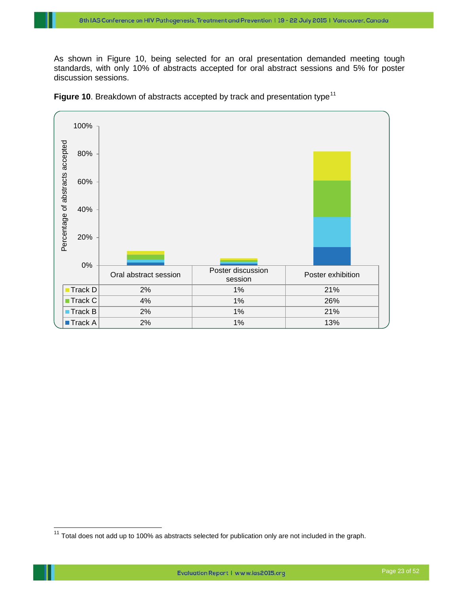As shown in Figure 10, being selected for an oral presentation demanded meeting tough standards, with only 10% of abstracts accepted for oral abstract sessions and 5% for poster discussion sessions.



**Figure 10.** Breakdown of abstracts accepted by track and presentation type<sup>[11](#page-23-0)</sup>

<span id="page-23-0"></span> $11$  Total does not add up to 100% as abstracts selected for publication only are not included in the graph.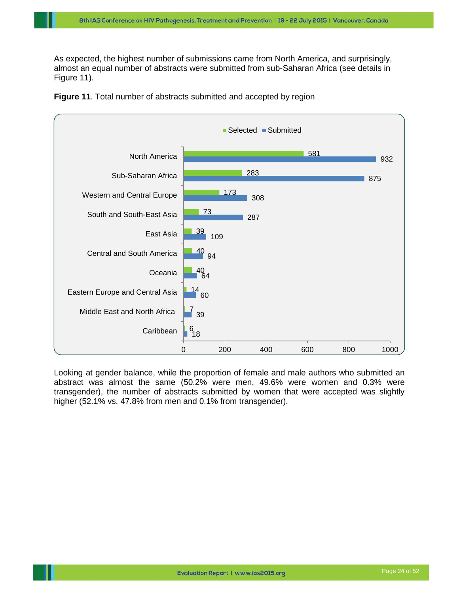As expected, the highest number of submissions came from North America, and surprisingly, almost an equal number of abstracts were submitted from sub-Saharan Africa (see details in Figure 11).



**Figure 11**. Total number of abstracts submitted and accepted by region

<span id="page-24-0"></span>Looking at gender balance, while the proportion of female and male authors who submitted an abstract was almost the same (50.2% were men, 49.6% were women and 0.3% were transgender), the number of abstracts submitted by women that were accepted was slightly higher (52.1% vs. 47.8% from men and 0.1% from transgender).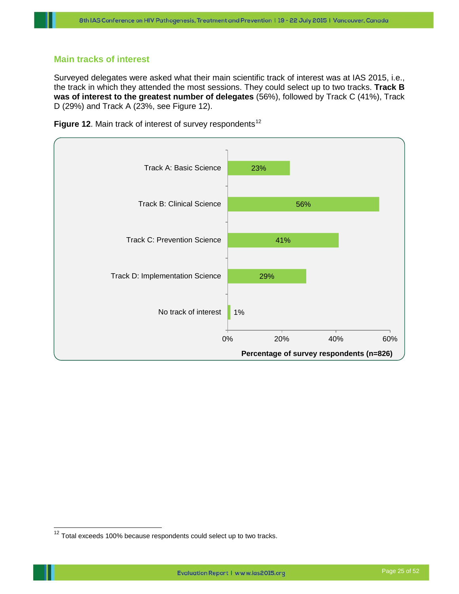## **Main tracks of interest**

Surveyed delegates were asked what their main scientific track of interest was at IAS 2015, i.e., the track in which they attended the most sessions. They could select up to two tracks. **Track B was of interest to the greatest number of delegates** (56%), followed by Track C (41%), Track D (29%) and Track A (23%, see Figure 12).





<span id="page-25-0"></span> $12$  Total exceeds 100% because respondents could select up to two tracks.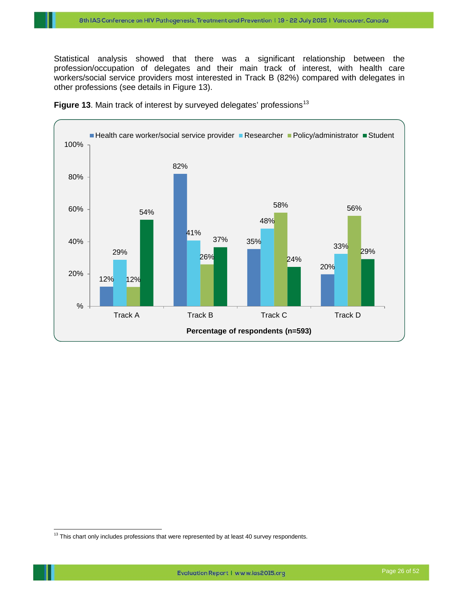Statistical analysis showed that there was a significant relationship between the profession/occupation of delegates and their main track of interest, with health care workers/social service providers most interested in Track B (82%) compared with delegates in other professions (see details in Figure 13).



Figure [13](#page-26-1). Main track of interest by surveyed delegates' professions<sup>13</sup>

<span id="page-26-1"></span><span id="page-26-0"></span> $13$  This chart only includes professions that were represented by at least 40 survey respondents.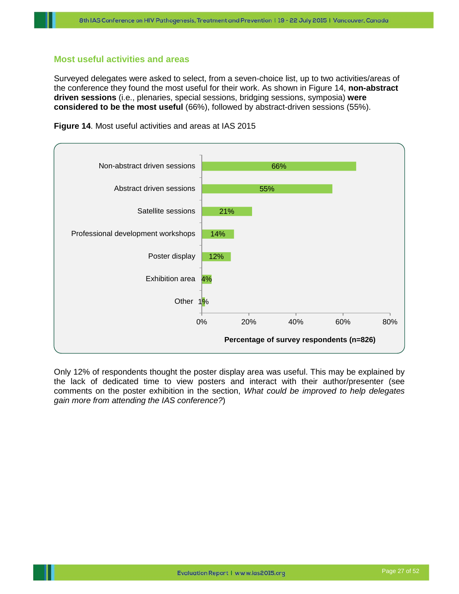## **Most useful activities and areas**

Surveyed delegates were asked to select, from a seven-choice list, up to two activities/areas of the conference they found the most useful for their work. As shown in Figure 14, **non-abstract driven sessions** (i.e., plenaries, special sessions, bridging sessions, symposia) **were considered to be the most useful** (66%), followed by abstract-driven sessions (55%).



**Figure 14**. Most useful activities and areas at IAS 2015

Only 12% of respondents thought the poster display area was useful. This may be explained by the lack of dedicated time to view posters and interact with their author/presenter (see comments on the poster exhibition in the section, *[What could be improved to help delegates](#page-36-0)  [gain more from attending the IAS conference?](#page-36-0)*)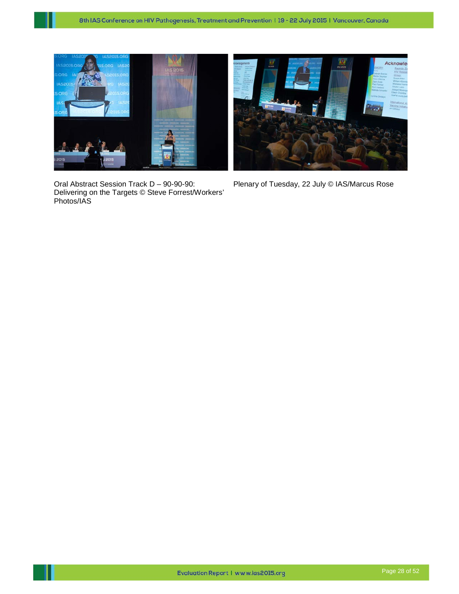

Oral Abstract Session Track D – 90-90-90: Delivering on the Targets © Steve Forrest/Workers' Photos/IAS



Plenary of Tuesday, 22 July © IAS/Marcus Rose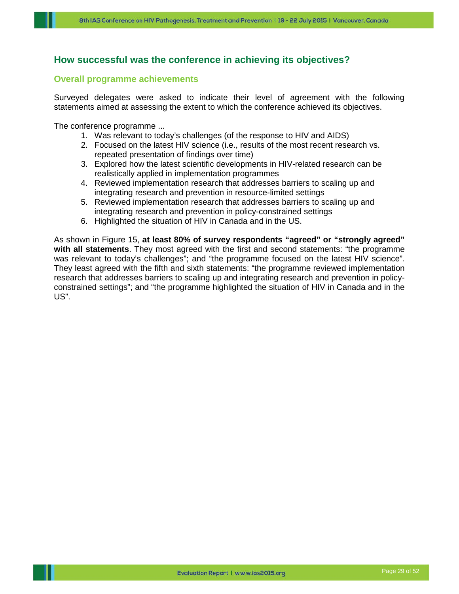## <span id="page-29-0"></span>**How successful was the conference in achieving its objectives?**

## <span id="page-29-1"></span>**Overall programme achievements**

Surveyed delegates were asked to indicate their level of agreement with the following statements aimed at assessing the extent to which the conference achieved its objectives.

The conference programme ...

- 1. Was relevant to today's challenges (of the response to HIV and AIDS)
- 2. Focused on the latest HIV science (i.e., results of the most recent research vs. repeated presentation of findings over time)
- 3. Explored how the latest scientific developments in HIV-related research can be realistically applied in implementation programmes
- 4. Reviewed implementation research that addresses barriers to scaling up and integrating research and prevention in resource-limited settings
- 5. Reviewed implementation research that addresses barriers to scaling up and integrating research and prevention in policy-constrained settings
- 6. Highlighted the situation of HIV in Canada and in the US.

As shown in Figure 15, **at least 80% of survey respondents "agreed" or "strongly agreed" with all statements**. They most agreed with the first and second statements: "the programme was relevant to today's challenges"; and "the programme focused on the latest HIV science". They least agreed with the fifth and sixth statements: "the programme reviewed implementation research that addresses barriers to scaling up and integrating research and prevention in policyconstrained settings"; and "the programme highlighted the situation of HIV in Canada and in the US".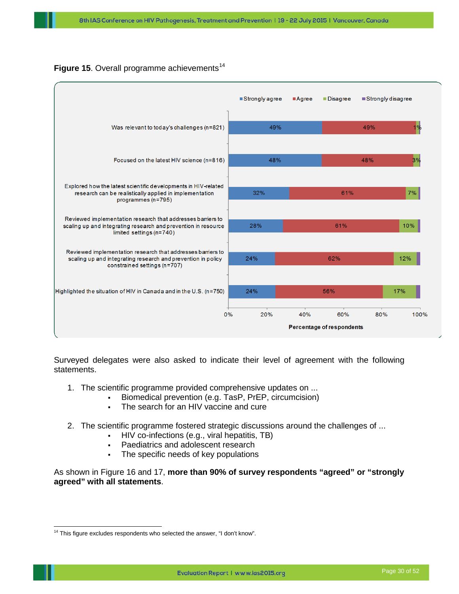

## **Figure 15.** Overall programme achievements<sup>[14](#page-30-0)</sup>

Surveyed delegates were also asked to indicate their level of agreement with the following statements.

- 1. The scientific programme provided comprehensive updates on ...
	- Biomedical prevention (e.g. TasP, PrEP, circumcision)
	- The search for an HIV vaccine and cure
- 2. The scientific programme fostered strategic discussions around the challenges of ...
	- HIV co-infections (e.g., viral hepatitis, TB)
	- Paediatrics and adolescent research
	- The specific needs of key populations

As shown in Figure 16 and 17, **more than 90% of survey respondents "agreed" or "strongly agreed" with all statements**.

<span id="page-30-0"></span><sup>&</sup>lt;sup>14</sup> This figure excludes respondents who selected the answer, "I don't know".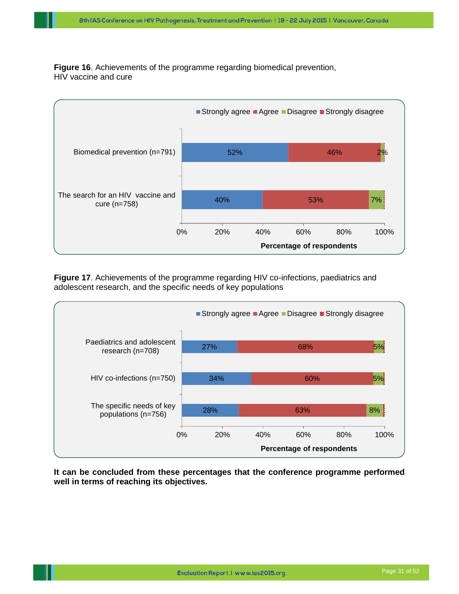**Figure 16**. Achievements of the programme regarding biomedical prevention, HIV vaccine and cure



**Figure 17**. Achievements of the programme regarding HIV co-infections, paediatrics and adolescent research, and the specific needs of key populations



<span id="page-31-0"></span>**It can be concluded from these percentages that the conference programme performed well in terms of reaching its objectives.**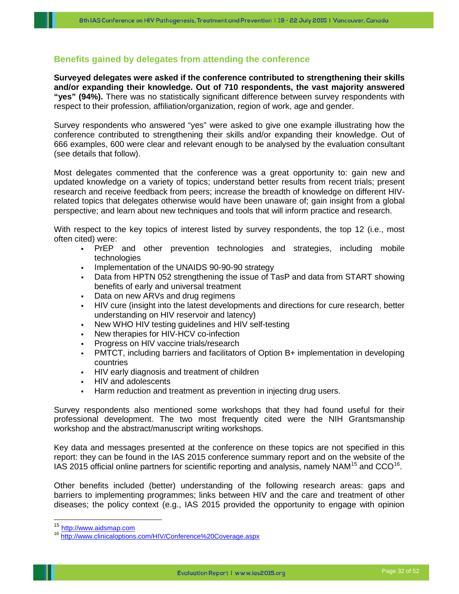## **Benefits gained by delegates from attending the conference**

**Surveyed delegates were asked if the conference contributed to strengthening their skills and/or expanding their knowledge. Out of 710 respondents, the vast majority answered "yes" (94%).** There was no statistically significant difference between survey respondents with respect to their profession, affiliation/organization, region of work, age and gender.

Survey respondents who answered "yes" were asked to give one example illustrating how the conference contributed to strengthening their skills and/or expanding their knowledge. Out of 666 examples, 600 were clear and relevant enough to be analysed by the evaluation consultant (see details that follow).

Most delegates commented that the conference was a great opportunity to: gain new and updated knowledge on a variety of topics; understand better results from recent trials; present research and receive feedback from peers; increase the breadth of knowledge on different HIVrelated topics that delegates otherwise would have been unaware of; gain insight from a global perspective; and learn about new techniques and tools that will inform practice and research.

With respect to the key topics of interest listed by survey respondents, the top 12 (i.e., most often cited) were:

- PrEP and other prevention technologies and strategies, including mobile technologies
- Implementation of the UNAIDS 90-90-90 strategy
- Data from HPTN 052 strengthening the issue of TasP and data from START showing benefits of early and universal treatment
- Data on new ARVs and drug regimens
- HIV cure (insight into the latest developments and directions for cure research, better understanding on HIV reservoir and latency)
- New WHO HIV testing guidelines and HIV self-testing
- New therapies for HIV-HCV co-infection
- Progress on HIV vaccine trials/research
- PMTCT, including barriers and facilitators of Option B+ implementation in developing countries
- HIV early diagnosis and treatment of children
- HIV and adolescents
- Harm reduction and treatment as prevention in injecting drug users.

Survey respondents also mentioned some workshops that they had found useful for their professional development. The two most frequently cited were the NIH Grantsmanship workshop and the abstract/manuscript writing workshops.

Key data and messages presented at the conference on these topics are not specified in this report: they can be found in the IAS 2015 conference summary report and on the website of the IAS 20[15](#page-32-0) official online partners for scientific reporting and analysis, namely NAM<sup>15</sup> and CCO<sup>16</sup>.

Other benefits included (better) understanding of the following research areas: gaps and barriers to implementing programmes; links between HIV and the care and treatment of other diseases; the policy context (e.g., IAS 2015 provided the opportunity to engage with opinion

<span id="page-32-1"></span><span id="page-32-0"></span><sup>&</sup>lt;sup>15</sup> [http://www.aidsmap.com](http://www.aidsmap.com/)<br><sup>16</sup> http://www.clinicaloptions.c<u>om/HIV/Conference%20Coverage.aspx</u>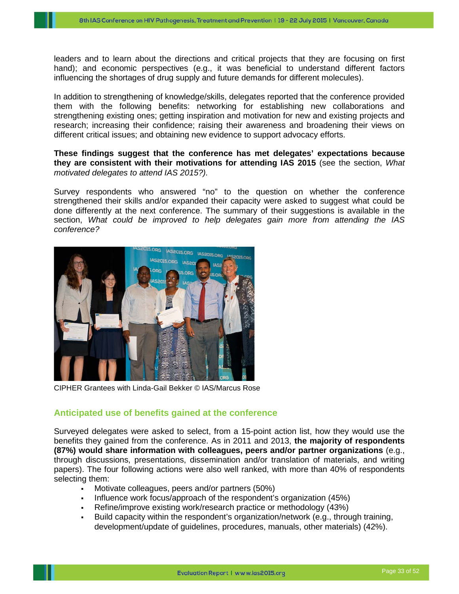leaders and to learn about the directions and critical projects that they are focusing on first hand); and economic perspectives (e.g., it was beneficial to understand different factors influencing the shortages of drug supply and future demands for different molecules).

In addition to strengthening of knowledge/skills, delegates reported that the conference provided them with the following benefits: networking for establishing new collaborations and strengthening existing ones; getting inspiration and motivation for new and existing projects and research; increasing their confidence; raising their awareness and broadening their views on different critical issues; and obtaining new evidence to support advocacy efforts.

**These findings suggest that the conference has met delegates' expectations because they are consistent with their motivations for attending IAS 2015** (see the section, *[What](#page-18-1)  [motivated delegates to attend IAS 2015?\)](#page-18-1).*

Survey respondents who answered "no" to the question on whether the conference strengthened their skills and/or expanded their capacity were asked to suggest what could be done differently at the next conference. The summary of their suggestions is available in the section, *[What could be improved to help delegates gain more from attending the IAS](#page-36-0)  [conference?](#page-36-0)*



CIPHER Grantees with Linda-Gail Bekker © IAS/Marcus Rose

#### <span id="page-33-0"></span>**Anticipated use of benefits gained at the conference**

Surveyed delegates were asked to select, from a 15-point action list, how they would use the benefits they gained from the conference. As in 2011 and 2013, **the majority of respondents (87%) would share information with colleagues, peers and/or partner organizations** (e.g., through discussions, presentations, dissemination and/or translation of materials, and writing papers). The four following actions were also well ranked, with more than 40% of respondents selecting them:

- **Motivate colleagues, peers and/or partners (50%)**
- Influence work focus/approach of the respondent's organization (45%)
- Refine/improve existing work/research practice or methodology (43%)
- Build capacity within the respondent's organization/network (e.g., through training, development/update of guidelines, procedures, manuals, other materials) (42%).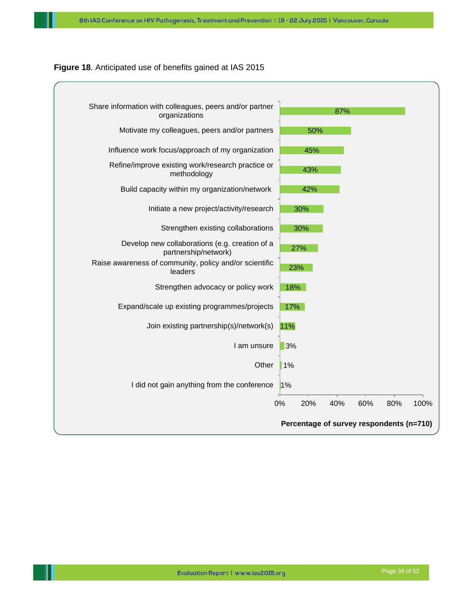#### **Figure 18**. Anticipated use of benefits gained at IAS 2015

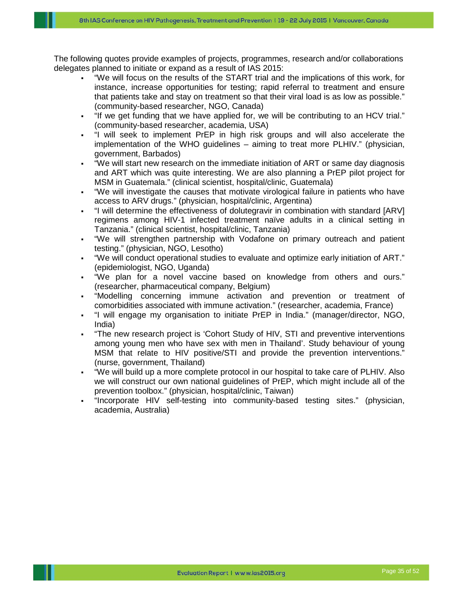The following quotes provide examples of projects, programmes, research and/or collaborations delegates planned to initiate or expand as a result of IAS 2015:

- "We will focus on the results of the START trial and the implications of this work, for instance, increase opportunities for testing; rapid referral to treatment and ensure that patients take and stay on treatment so that their viral load is as low as possible." (community-based researcher, NGO, Canada)
- "If we get funding that we have applied for, we will be contributing to an HCV trial." (community-based researcher, academia, USA)
- "I will seek to implement PrEP in high risk groups and will also accelerate the implementation of the WHO guidelines – aiming to treat more PLHIV." (physician, government, Barbados)
- "We will start new research on the immediate initiation of ART or same day diagnosis and ART which was quite interesting. We are also planning a PrEP pilot project for MSM in Guatemala." (clinical scientist, hospital/clinic, Guatemala)
- "We will investigate the causes that motivate virological failure in patients who have access to ARV drugs." (physician, hospital/clinic, Argentina)
- "I will determine the effectiveness of dolutegravir in combination with standard [ARV] regimens among HIV-1 infected treatment naïve adults in a clinical setting in Tanzania." (clinical scientist, hospital/clinic, Tanzania)
- "We will strengthen partnership with Vodafone on primary outreach and patient testing." (physician, NGO, Lesotho)
- "We will conduct operational studies to evaluate and optimize early initiation of ART." (epidemiologist, NGO, Uganda)
- "We plan for a novel vaccine based on knowledge from others and ours." (researcher, pharmaceutical company, Belgium)
- "Modelling concerning immune activation and prevention or treatment of comorbidities associated with immune activation." (researcher, academia, France)
- "I will engage my organisation to initiate PrEP in India." (manager/director, NGO, India)
- "The new research project is 'Cohort Study of HIV, STI and preventive interventions among young men who have sex with men in Thailand'. Study behaviour of young MSM that relate to HIV positive/STI and provide the prevention interventions." (nurse, government, Thailand)
- "We will build up a more complete protocol in our hospital to take care of PLHIV. Also we will construct our own national guidelines of PrEP, which might include all of the prevention toolbox." (physician, hospital/clinic, Taiwan)
- "Incorporate HIV self-testing into community-based testing sites." (physician, academia, Australia)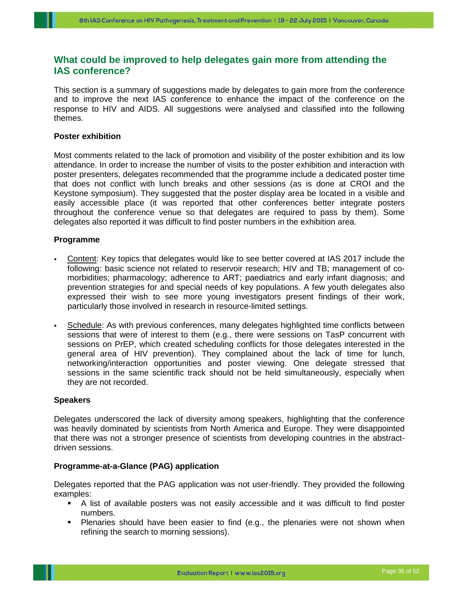## <span id="page-36-0"></span>**What could be improved to help delegates gain more from attending the IAS conference?**

This section is a summary of suggestions made by delegates to gain more from the conference and to improve the next IAS conference to enhance the impact of the conference on the response to HIV and AIDS. All suggestions were analysed and classified into the following themes.

## **Poster exhibition**

Most comments related to the lack of promotion and visibility of the poster exhibition and its low attendance. In order to increase the number of visits to the poster exhibition and interaction with poster presenters, delegates recommended that the programme include a dedicated poster time that does not conflict with lunch breaks and other sessions (as is done at CROI and the Keystone symposium). They suggested that the poster display area be located in a visible and easily accessible place (it was reported that other conferences better integrate posters throughout the conference venue so that delegates are required to pass by them). Some delegates also reported it was difficult to find poster numbers in the exhibition area.

#### **Programme**

- Content: Key topics that delegates would like to see better covered at IAS 2017 include the following: basic science not related to reservoir research; HIV and TB; management of comorbidities; pharmacology; adherence to ART; paediatrics and early infant diagnosis; and prevention strategies for and special needs of key populations. A few youth delegates also expressed their wish to see more young investigators present findings of their work, particularly those involved in research in resource-limited settings.
- Schedule: As with previous conferences, many delegates highlighted time conflicts between sessions that were of interest to them (e.g., there were sessions on TasP concurrent with sessions on PrEP, which created scheduling conflicts for those delegates interested in the general area of HIV prevention). They complained about the lack of time for lunch, networking/interaction opportunities and poster viewing. One delegate stressed that sessions in the same scientific track should not be held simultaneously, especially when they are not recorded.

#### **Speakers**

Delegates underscored the lack of diversity among speakers, highlighting that the conference was heavily dominated by scientists from North America and Europe. They were disappointed that there was not a stronger presence of scientists from developing countries in the abstractdriven sessions.

#### **Programme-at-a-Glance (PAG) application**

Delegates reported that the PAG application was not user-friendly. They provided the following examples:

- A list of available posters was not easily accessible and it was difficult to find poster numbers.
- Plenaries should have been easier to find (e.g., the plenaries were not shown when refining the search to morning sessions).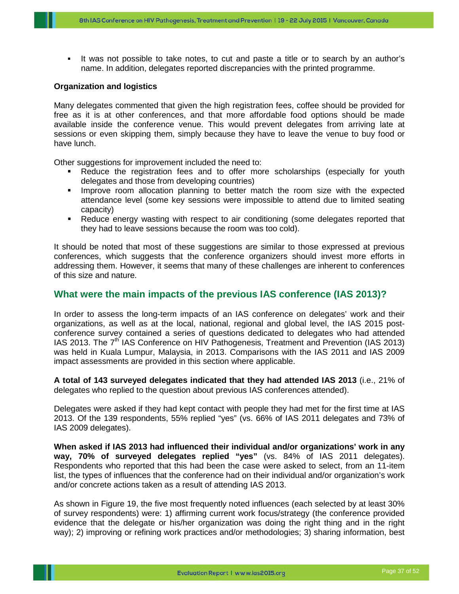It was not possible to take notes, to cut and paste a title or to search by an author's name. In addition, delegates reported discrepancies with the printed programme.

#### **Organization and logistics**

Many delegates commented that given the high registration fees, coffee should be provided for free as it is at other conferences, and that more affordable food options should be made available inside the conference venue. This would prevent delegates from arriving late at sessions or even skipping them, simply because they have to leave the venue to buy food or have lunch.

Other suggestions for improvement included the need to:

- Reduce the registration fees and to offer more scholarships (especially for youth delegates and those from developing countries)
- **IMPROVE FOOM allocation planning to better match the room size with the expected** attendance level (some key sessions were impossible to attend due to limited seating capacity)
- Reduce energy wasting with respect to air conditioning (some delegates reported that they had to leave sessions because the room was too cold).

It should be noted that most of these suggestions are similar to those expressed at previous conferences, which suggests that the conference organizers should invest more efforts in addressing them. However, it seems that many of these challenges are inherent to conferences of this size and nature.

#### <span id="page-37-0"></span>**What were the main impacts of the previous IAS conference (IAS 2013)?**

In order to assess the long-term impacts of an IAS conference on delegates' work and their organizations, as well as at the local, national, regional and global level, the IAS 2015 postconference survey contained a series of questions dedicated to delegates who had attended IAS 2013. The 7<sup>th</sup> IAS Conference on HIV Pathogenesis, Treatment and Prevention (IAS 2013) was held in Kuala Lumpur, Malaysia, in 2013. Comparisons with the IAS 2011 and IAS 2009 impact assessments are provided in this section where applicable.

**A total of 143 surveyed delegates indicated that they had attended IAS 2013** (i.e., 21% of delegates who replied to the question about previous IAS conferences attended).

Delegates were asked if they had kept contact with people they had met for the first time at IAS 2013. Of the 139 respondents, 55% replied "yes" (vs. 66% of IAS 2011 delegates and 73% of IAS 2009 delegates).

**When asked if IAS 2013 had influenced their individual and/or organizations' work in any way, 70% of surveyed delegates replied "yes"** (vs. 84% of IAS 2011 delegates). Respondents who reported that this had been the case were asked to select, from an 11-item list, the types of influences that the conference had on their individual and/or organization's work and/or concrete actions taken as a result of attending IAS 2013.

As shown in Figure 19, the five most frequently noted influences (each selected by at least 30% of survey respondents) were: 1) affirming current work focus/strategy (the conference provided evidence that the delegate or his/her organization was doing the right thing and in the right way); 2) improving or refining work practices and/or methodologies; 3) sharing information, best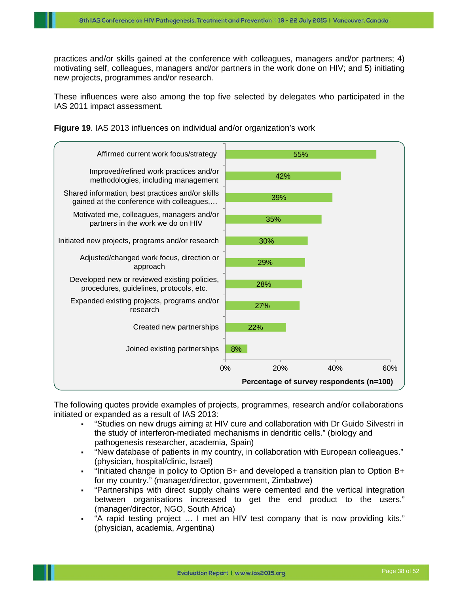practices and/or skills gained at the conference with colleagues, managers and/or partners; 4) motivating self, colleagues, managers and/or partners in the work done on HIV; and 5) initiating new projects, programmes and/or research.

These influences were also among the top five selected by delegates who participated in the IAS 2011 impact assessment.





The following quotes provide examples of projects, programmes, research and/or collaborations initiated or expanded as a result of IAS 2013:

- "Studies on new drugs aiming at HIV cure and collaboration with Dr Guido Silvestri in the study of interferon-mediated mechanisms in dendritic cells." (biology and pathogenesis researcher, academia, Spain)
- "New database of patients in my country, in collaboration with European colleagues." (physician, hospital/clinic, Israel)
- $\blacksquare$  "Initiated change in policy to Option B+ and developed a transition plan to Option B+ for my country." (manager/director, government, Zimbabwe)
- "Partnerships with direct supply chains were cemented and the vertical integration between organisations increased to get the end product to the users." (manager/director, NGO, South Africa)
- "A rapid testing project … I met an HIV test company that is now providing kits." (physician, academia, Argentina)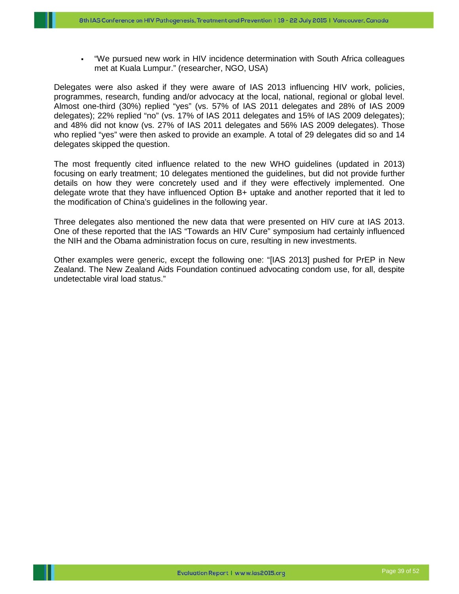"We pursued new work in HIV incidence determination with South Africa colleagues met at Kuala Lumpur." (researcher, NGO, USA)

Delegates were also asked if they were aware of IAS 2013 influencing HIV work, policies, programmes, research, funding and/or advocacy at the local, national, regional or global level. Almost one-third (30%) replied "yes" (vs. 57% of IAS 2011 delegates and 28% of IAS 2009 delegates); 22% replied "no" (vs. 17% of IAS 2011 delegates and 15% of IAS 2009 delegates); and 48% did not know (vs. 27% of IAS 2011 delegates and 56% IAS 2009 delegates). Those who replied "yes" were then asked to provide an example. A total of 29 delegates did so and 14 delegates skipped the question.

The most frequently cited influence related to the new WHO guidelines (updated in 2013) focusing on early treatment; 10 delegates mentioned the guidelines, but did not provide further details on how they were concretely used and if they were effectively implemented. One delegate wrote that they have influenced Option B+ uptake and another reported that it led to the modification of China's guidelines in the following year.

Three delegates also mentioned the new data that were presented on HIV cure at IAS 2013. One of these reported that the IAS "Towards an HIV Cure" symposium had certainly influenced the NIH and the Obama administration focus on cure, resulting in new investments.

Other examples were generic, except the following one: "[IAS 2013] pushed for PrEP in New Zealand. The New Zealand Aids Foundation continued advocating condom use, for all, despite undetectable viral load status."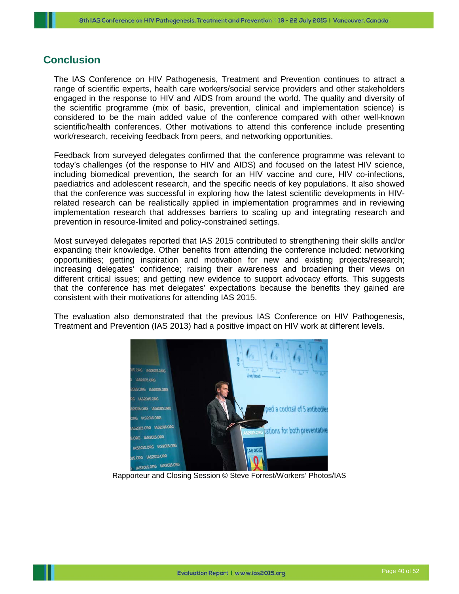## <span id="page-40-0"></span>**Conclusion**

The IAS Conference on HIV Pathogenesis, Treatment and Prevention continues to attract a range of scientific experts, health care workers/social service providers and other stakeholders engaged in the response to HIV and AIDS from around the world. The quality and diversity of the scientific programme (mix of basic, prevention, clinical and implementation science) is considered to be the main added value of the conference compared with other well-known scientific/health conferences. Other motivations to attend this conference include presenting work/research, receiving feedback from peers, and networking opportunities.

Feedback from surveyed delegates confirmed that the conference programme was relevant to today's challenges (of the response to HIV and AIDS) and focused on the latest HIV science, including biomedical prevention, the search for an HIV vaccine and cure, HIV co-infections, paediatrics and adolescent research, and the specific needs of key populations. It also showed that the conference was successful in exploring how the latest scientific developments in HIVrelated research can be realistically applied in implementation programmes and in reviewing implementation research that addresses barriers to scaling up and integrating research and prevention in resource-limited and policy-constrained settings.

Most surveyed delegates reported that IAS 2015 contributed to strengthening their skills and/or expanding their knowledge. Other benefits from attending the conference included: networking opportunities; getting inspiration and motivation for new and existing projects/research; increasing delegates' confidence; raising their awareness and broadening their views on different critical issues; and getting new evidence to support advocacy efforts. This suggests that the conference has met delegates' expectations because the benefits they gained are consistent with their motivations for attending IAS 2015.

The evaluation also demonstrated that the previous IAS Conference on HIV Pathogenesis, Treatment and Prevention (IAS 2013) had a positive impact on HIV work at different levels.



Rapporteur and Closing Session © Steve Forrest/Workers' Photos/IAS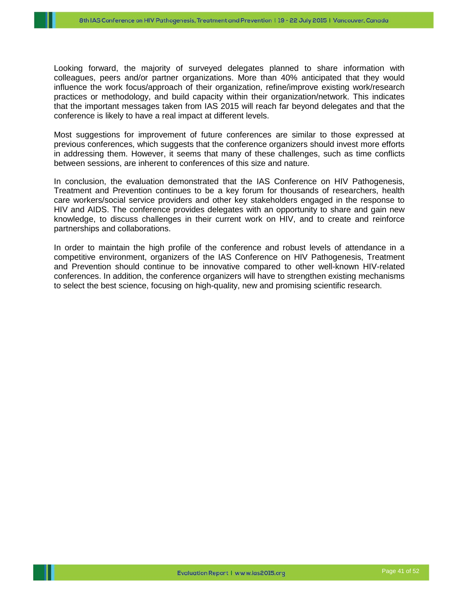Looking forward, the majority of surveyed delegates planned to share information with colleagues, peers and/or partner organizations. More than 40% anticipated that they would influence the work focus/approach of their organization, refine/improve existing work/research practices or methodology, and build capacity within their organization/network. This indicates that the important messages taken from IAS 2015 will reach far beyond delegates and that the conference is likely to have a real impact at different levels.

Most suggestions for improvement of future conferences are similar to those expressed at previous conferences, which suggests that the conference organizers should invest more efforts in addressing them. However, it seems that many of these challenges, such as time conflicts between sessions, are inherent to conferences of this size and nature.

In conclusion, the evaluation demonstrated that the IAS Conference on HIV Pathogenesis, Treatment and Prevention continues to be a key forum for thousands of researchers, health care workers/social service providers and other key stakeholders engaged in the response to HIV and AIDS. The conference provides delegates with an opportunity to share and gain new knowledge, to discuss challenges in their current work on HIV, and to create and reinforce partnerships and collaborations.

In order to maintain the high profile of the conference and robust levels of attendance in a competitive environment, organizers of the IAS Conference on HIV Pathogenesis, Treatment and Prevention should continue to be innovative compared to other well-known HIV-related conferences. In addition, the conference organizers will have to strengthen existing mechanisms to select the best science, focusing on high-quality, new and promising scientific research.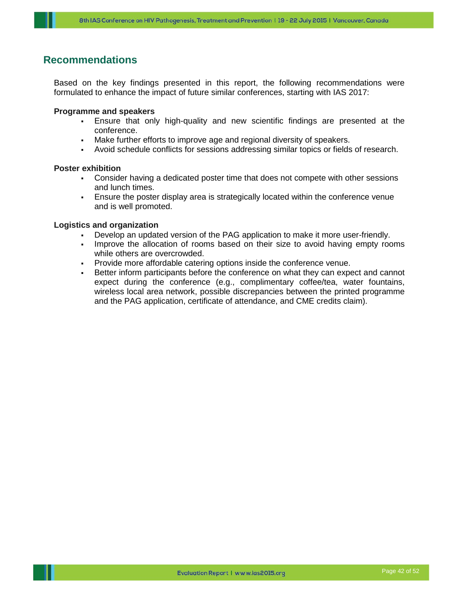## <span id="page-42-0"></span>**Recommendations**

Based on the key findings presented in this report, the following recommendations were formulated to enhance the impact of future similar conferences, starting with IAS 2017:

#### **Programme and speakers**

- Ensure that only high-quality and new scientific findings are presented at the conference.
- Make further efforts to improve age and regional diversity of speakers.
- Avoid schedule conflicts for sessions addressing similar topics or fields of research.

#### **Poster exhibition**

- Consider having a dedicated poster time that does not compete with other sessions and lunch times.
- Ensure the poster display area is strategically located within the conference venue and is well promoted.

#### **Logistics and organization**

- Develop an updated version of the PAG application to make it more user-friendly.
- Improve the allocation of rooms based on their size to avoid having empty rooms while others are overcrowded.
- Provide more affordable catering options inside the conference venue.
- Better inform participants before the conference on what they can expect and cannot expect during the conference (e.g., complimentary coffee/tea, water fountains, wireless local area network, possible discrepancies between the printed programme and the PAG application, certificate of attendance, and CME credits claim).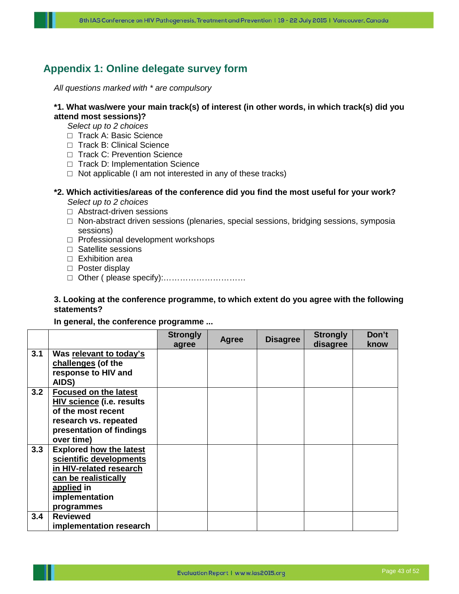## <span id="page-43-0"></span>**Appendix 1: Online delegate survey form**

*All questions marked with \* are compulsory*

#### **\*1. What was/were your main track(s) of interest (in other words, in which track(s) did you attend most sessions)?**

*Select up to 2 choices*

- □ Track A: Basic Science
- □ Track B: Clinical Science
- □ Track C: Prevention Science
- □ Track D: Implementation Science
- $\Box$  Not applicable (I am not interested in any of these tracks)

#### **\*2. Which activities/areas of the conference did you find the most useful for your work?** *Select up to 2 choices*

- □ Abstract-driven sessions
- $\Box$  Non-abstract driven sessions (plenaries, special sessions, bridging sessions, symposia sessions)
- □ Professional development workshops
- □ Satellite sessions
- □ Exhibition area
- □ Poster display
- □ Other ( please specify):…………………………

#### **3. Looking at the conference programme, to which extent do you agree with the following statements?**

#### **In general, the conference programme ...**

|     |                                                                                                                                                            | <b>Strongly</b><br>agree | Agree | <b>Disagree</b> | <b>Strongly</b><br>disagree | Don't<br>know |
|-----|------------------------------------------------------------------------------------------------------------------------------------------------------------|--------------------------|-------|-----------------|-----------------------------|---------------|
| 3.1 | Was relevant to today's<br>challenges (of the<br>response to HIV and<br>AIDS)                                                                              |                          |       |                 |                             |               |
| 3.2 | <b>Focused on the latest</b><br><b>HIV science (i.e. results</b><br>of the most recent<br>research vs. repeated<br>presentation of findings<br>over time)  |                          |       |                 |                             |               |
| 3.3 | <b>Explored how the latest</b><br>scientific developments<br>in HIV-related research<br>can be realistically<br>applied in<br>implementation<br>programmes |                          |       |                 |                             |               |
| 3.4 | <b>Reviewed</b><br>implementation research                                                                                                                 |                          |       |                 |                             |               |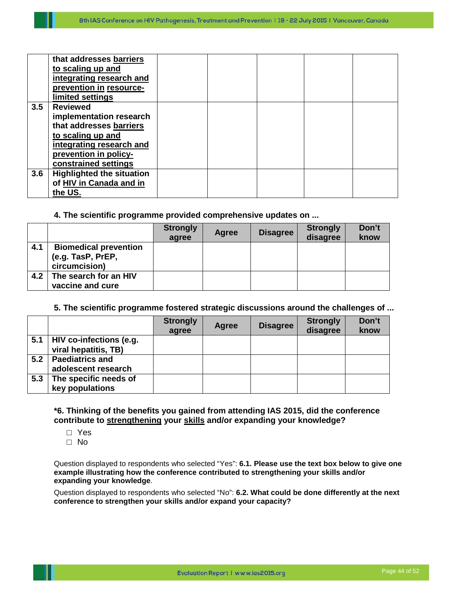|     | that addresses barriers          |  |  |  |
|-----|----------------------------------|--|--|--|
|     | to scaling up and                |  |  |  |
|     | integrating research and         |  |  |  |
|     | prevention in resource-          |  |  |  |
|     | limited settings                 |  |  |  |
| 3.5 | <b>Reviewed</b>                  |  |  |  |
|     | implementation research          |  |  |  |
|     | that addresses barriers          |  |  |  |
|     | to scaling up and                |  |  |  |
|     | integrating research and         |  |  |  |
|     | prevention in policy-            |  |  |  |
|     | constrained settings             |  |  |  |
| 3.6 | <b>Highlighted the situation</b> |  |  |  |
|     | of HIV in Canada and in          |  |  |  |
|     | the US.                          |  |  |  |

#### **4. The scientific programme provided comprehensive updates on ...**

|     |                                                                    | <b>Strongly</b><br>agree | Agree | <b>Disagree</b> | <b>Strongly</b><br>disagree | Don't<br>know |
|-----|--------------------------------------------------------------------|--------------------------|-------|-----------------|-----------------------------|---------------|
| 4.1 | <b>Biomedical prevention</b><br>(e.g. TasP, PrEP,<br>circumcision) |                          |       |                 |                             |               |
| 4.2 | The search for an HIV<br>vaccine and cure                          |                          |       |                 |                             |               |

#### **5. The scientific programme fostered strategic discussions around the challenges of ...**

|     |                                                 | <b>Strongly</b><br>agree | Agree | <b>Disagree</b> | <b>Strongly</b><br>disagree | Don't<br>know |
|-----|-------------------------------------------------|--------------------------|-------|-----------------|-----------------------------|---------------|
| 5.1 | HIV co-infections (e.g.<br>viral hepatitis, TB) |                          |       |                 |                             |               |
| 5.2 | <b>Paediatrics and</b><br>adolescent research   |                          |       |                 |                             |               |
| 5.3 | The specific needs of<br>key populations        |                          |       |                 |                             |               |

## **\*6. Thinking of the benefits you gained from attending IAS 2015, did the conference contribute to strengthening your skills and/or expanding your knowledge?**

- □ Yes
- □ No

Question displayed to respondents who selected "Yes": **6.1. Please use the text box below to give one example illustrating how the conference contributed to strengthening your skills and/or expanding your knowledge**.

Question displayed to respondents who selected "No": **6.2. What could be done differently at the next conference to strengthen your skills and/or expand your capacity?**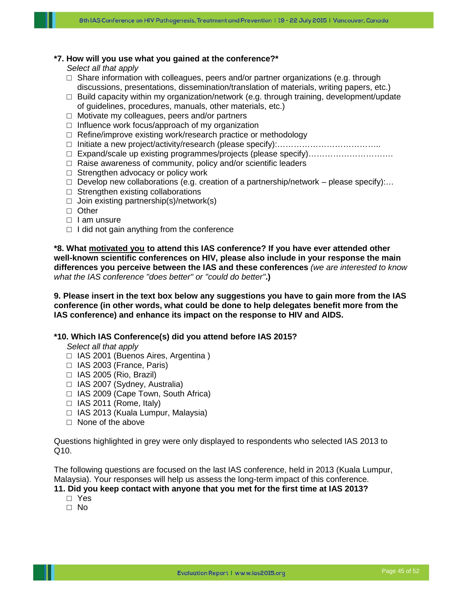#### **\*7. How will you use what you gained at the conference?\***

*Select all that apply*

- $\square$  Share information with colleagues, peers and/or partner organizations (e.g. through discussions, presentations, dissemination/translation of materials, writing papers, etc.)
- $\Box$  Build capacity within my organization/network (e.g. through training, development/update of guidelines, procedures, manuals, other materials, etc.)
- $\Box$  Motivate my colleagues, peers and/or partners
- $\Box$  Influence work focus/approach of my organization
- □ Refine/improve existing work/research practice or methodology
- □ Initiate a new project/activity/research (please specify):………………………………..
- □ Expand/scale up existing programmes/projects (please specify)………………………….
- □ Raise awareness of community, policy and/or scientific leaders
- $\square$  Strengthen advocacy or policy work
- $\Box$  Develop new collaborations (e.g. creation of a partnership/network please specify):...
- $\Box$  Strengthen existing collaborations
- $\Box$  Join existing partnership(s)/network(s)
- □ Other
- □ I am unsure
- $\Box$  I did not gain anything from the conference

**\*8. What motivated you to attend this IAS conference? If you have ever attended other well-known scientific conferences on HIV, please also include in your response the main differences you perceive between the IAS and these conferences** *(we are interested to know what the IAS conference "does better" or "could do better"***.)**

**9. Please insert in the text box below any suggestions you have to gain more from the IAS conference (in other words, what could be done to help delegates benefit more from the IAS conference) and enhance its impact on the response to HIV and AIDS.** 

#### **\*10. Which IAS Conference(s) did you attend before IAS 2015?**

*Select all that apply*

- □ IAS 2001 (Buenos Aires, Argentina)
- $\Box$  IAS 2003 (France, Paris)
- $\Box$  IAS 2005 (Rio, Brazil)
- □ IAS 2007 (Sydney, Australia)
- □ IAS 2009 (Cape Town, South Africa)
- $\Box$  IAS 2011 (Rome, Italy)
- □ IAS 2013 (Kuala Lumpur, Malaysia)
- $\Box$  None of the above

Questions highlighted in grey were only displayed to respondents who selected IAS 2013 to Q10.

The following questions are focused on the last IAS conference, held in 2013 (Kuala Lumpur, Malaysia). Your responses will help us assess the long-term impact of this conference.

#### **11. Did you keep contact with anyone that you met for the first time at IAS 2013?**

- □ Yes
- □ No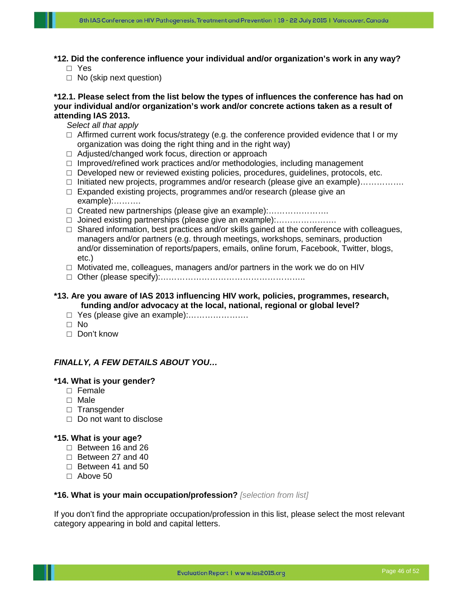**\*12. Did the conference influence your individual and/or organization's work in any way?** □ Yes

□ No (skip next question)

#### **\*12.1. Please select from the list below the types of influences the conference has had on your individual and/or organization's work and/or concrete actions taken as a result of attending IAS 2013.**

*Select all that apply*

- $\Box$  Affirmed current work focus/strategy (e.g. the conference provided evidence that I or my organization was doing the right thing and in the right way)
- □ Adjusted/changed work focus, direction or approach
- $\Box$  Improved/refined work practices and/or methodologies, including management
- □ Developed new or reviewed existing policies, procedures, guidelines, protocols, etc.
- □ Initiated new projects, programmes and/or research (please give an example)…………….
- $\Box$  Expanded existing projects, programmes and/or research (please give an example):……….
- □ Created new partnerships (please give an example):.......................
- □ Joined existing partnerships (please give an example):………………….
- $\Box$  Shared information, best practices and/or skills gained at the conference with colleagues, managers and/or partners (e.g. through meetings, workshops, seminars, production and/or dissemination of reports/papers, emails, online forum, Facebook, Twitter, blogs, etc.)
- □ Motivated me, colleagues, managers and/or partners in the work we do on HIV
- □ Other (please specify):……………………………………………..

#### **\*13. Are you aware of IAS 2013 influencing HIV work, policies, programmes, research, funding and/or advocacy at the local, national, regional or global level?**

- □ Yes (please give an example):.......................
- □ No
- □ Don't know

## *FINALLY, A FEW DETAILS ABOUT YOU…*

#### **\*14. What is your gender?**

- □ Female
- □ Male
- □ Transgender
- □ Do not want to disclose

#### **\*15. What is your age?**

- $\Box$  Between 16 and 26
- □ Between 27 and 40
- □ Between 41 and 50
- □ Above 50

#### **\*16. What is your main occupation/profession?** *[selection from list]*

If you don't find the appropriate occupation/profession in this list, please select the most relevant category appearing in bold and capital letters.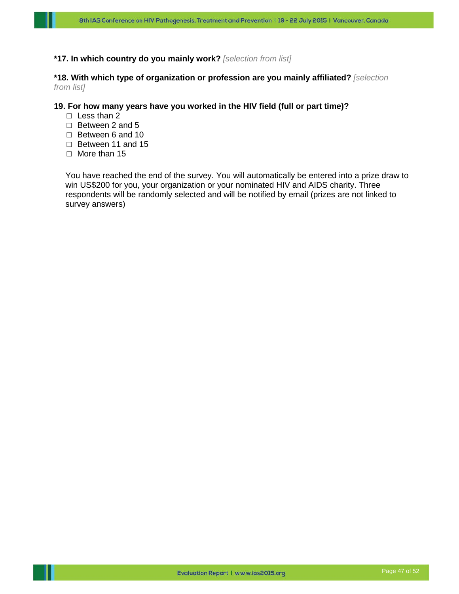#### **\*17. In which country do you mainly work?** *[selection from list]*

#### **\*18. With which type of organization or profession are you mainly affiliated?** *[selection from list]*

#### **19. For how many years have you worked in the HIV field (full or part time)?**

- □ Less than 2
- $\Box$  Between 2 and 5
- □ Between 6 and 10
- □ Between 11 and 15
- □ More than 15

You have reached the end of the survey. You will automatically be entered into a prize draw to win US\$200 for you, your organization or your nominated HIV and AIDS charity. Three respondents will be randomly selected and will be notified by email (prizes are not linked to survey answers)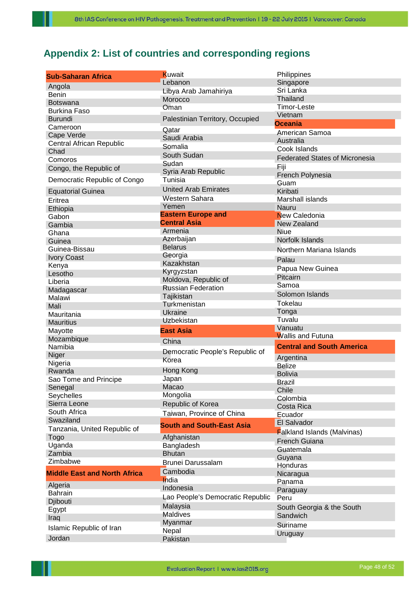# <span id="page-48-0"></span>**Appendix 2: List of countries and corresponding regions**

| <b>Sub-Saharan Africa</b>           | Kuwait<br>Lebanon                | Philippines<br>Singapore              |
|-------------------------------------|----------------------------------|---------------------------------------|
| Angola                              | Libya Arab Jamahiriya            | Sri Lanka                             |
| <b>Benin</b>                        | Morocco                          | <b>Thailand</b>                       |
| <b>Botswana</b>                     | Oman                             | Timor-Leste                           |
| <b>Burkina Faso</b>                 |                                  | Vietnam                               |
| <b>Burundi</b>                      | Palestinian Territory, Occupied  | Oceania                               |
| Cameroon                            | Qatar                            |                                       |
| Cape Verde                          | Saudi Arabia                     | American Samoa                        |
| Central African Republic            | Somalia                          | Australia<br>Cook Islands             |
| Chad                                | South Sudan                      |                                       |
| Comoros                             | Sudan                            | <b>Federated States of Micronesia</b> |
| Congo, the Republic of              | Syria Arab Republic              | Fiji                                  |
| Democratic Republic of Congo        | Tunisia                          | French Polynesia                      |
|                                     | <b>United Arab Emirates</b>      | Guam                                  |
| <b>Equatorial Guinea</b>            | Western Sahara                   | Kiribati                              |
| Eritrea                             | Yemen                            | Marshall islands                      |
| Ethiopia                            | <b>Eastern Europe and</b>        | Nauru                                 |
| Gabon                               | <b>Central Asia</b>              | New Caledonia                         |
| Gambia                              | Armenia                          | New Zealand                           |
| Ghana                               | Azerbaijan                       | <b>Niue</b>                           |
| Guinea                              | <b>Belarus</b>                   | Norfolk Islands                       |
| Guinea-Bissau                       | Georgia                          | Northern Mariana Islands              |
| <b>Ivory Coast</b>                  | Kazakhstan                       | Palau                                 |
| Kenya                               | Kyrgyzstan                       | Papua New Guinea                      |
| Lesotho                             | Moldova, Republic of             | Pitcairn                              |
| Liberia                             | <b>Russian Federation</b>        | Samoa                                 |
| Madagascar                          |                                  | Solomon Islands                       |
| Malawi                              | Tajikistan<br>Turkmenistan       | Tokelau                               |
| Mali                                |                                  |                                       |
|                                     |                                  |                                       |
| Mauritania                          | Ukraine                          | Tonga                                 |
| <b>Mauritius</b>                    | <b>Uzbekistan</b>                | Tuvalu                                |
| Mayotte                             | <b>East Asia</b>                 | Vanuatu                               |
| Mozambique                          | China                            | <b>Wallis and Futuna</b>              |
| Namibia                             |                                  | <b>Central and South America</b>      |
| Niger                               | Democratic People's Republic of  | Argentina                             |
| Nigeria                             | Korea                            | <b>Belize</b>                         |
| Rwanda                              | Hong Kong                        | <b>Bolivia</b>                        |
| Sao Tome and Principe               | Japan                            | Brazil                                |
| Senegal                             | Macao                            | Chile                                 |
| Seychelles                          | Mongolia                         | Colombia                              |
| Sierra Leone                        | Republic of Korea                | Costa Rica                            |
| South Africa                        | Taiwan, Province of China        | Ecuador                               |
| Swaziland                           | <b>South and South-East Asia</b> | El Salvador                           |
| Tanzania, United Republic of        |                                  | <b>Falkland Islands (Malvinas)</b>    |
| Togo                                | Afghanistan                      | <b>French Guiana</b>                  |
| Uganda                              | Bangladesh                       | Guatemala                             |
| Zambia                              | <b>Bhutan</b>                    | Guyana                                |
| Zimbabwe                            | Brunei Darussalam                | Honduras                              |
| <b>Middle East and North Africa</b> | Cambodia                         | Nicaragua                             |
|                                     | India                            | Panama                                |
| Algeria                             | Indonesia                        | Paraguay                              |
| <b>Bahrain</b>                      | Lao People's Democratic Republic | Peru                                  |
| Djibouti                            | Malaysia                         | South Georgia & the South             |
| Egypt                               | <b>Maldives</b>                  | Sandwich                              |
| Iraq                                | Myanmar                          | Suriname                              |
| Islamic Republic of Iran<br>Jordan  | Nepal<br>Pakistan                | Uruguay                               |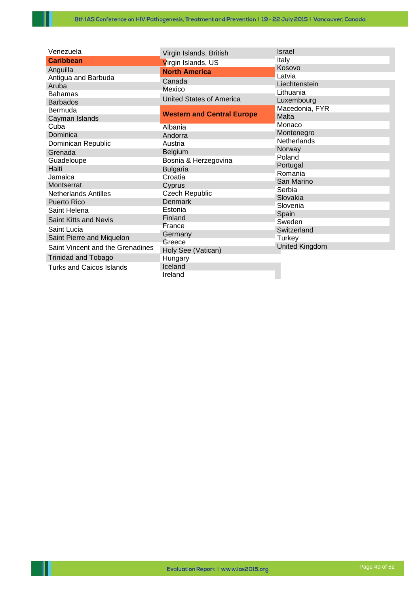| Venezuela                        | Virgin Islands, British           | Israel                       |
|----------------------------------|-----------------------------------|------------------------------|
| <b>Caribbean</b>                 | Virgin Islands, US                | Italy                        |
| Anguilla                         | <b>North America</b>              | Kosovo                       |
| Antigua and Barbuda              | Canada                            | Latvia                       |
| Aruba                            | Mexico                            | Liechtenstein                |
| <b>Bahamas</b>                   | <b>United States of America</b>   | Lithuania                    |
| <b>Barbados</b>                  |                                   | Luxembourg<br>Macedonia, FYR |
| Bermuda                          | <b>Western and Central Europe</b> | Malta                        |
| Cayman Islands                   |                                   | Monaco                       |
| Cuba                             | Albania                           | Montenegro                   |
| Dominica                         | Andorra                           | <b>Netherlands</b>           |
| Dominican Republic               | Austria                           | Norway                       |
| Grenada                          | Belgium                           | Poland                       |
| Guadeloupe                       | Bosnia & Herzegovina              | Portugal                     |
| Haiti                            | <b>Bulgaria</b>                   | Romania                      |
| Jamaica                          | Croatia                           | San Marino                   |
| Montserrat                       | Cyprus                            | Serbia                       |
| <b>Netherlands Antilles</b>      | Czech Republic                    | Slovakia                     |
| <b>Puerto Rico</b>               | <b>Denmark</b>                    | Slovenia                     |
| Saint Helena                     | Estonia                           | Spain                        |
| Saint Kitts and Nevis            | Finland                           | Sweden                       |
| Saint Lucia                      | France                            | Switzerland                  |
| Saint Pierre and Miquelon        | Germany                           | Turkey                       |
| Saint Vincent and the Grenadines | Greece<br>Holy See (Vatican)      | United Kingdom               |
| <b>Trinidad and Tobago</b>       | Hungary                           |                              |
| <b>Turks and Caicos Islands</b>  | Iceland                           |                              |
|                                  | Ireland                           |                              |

Ш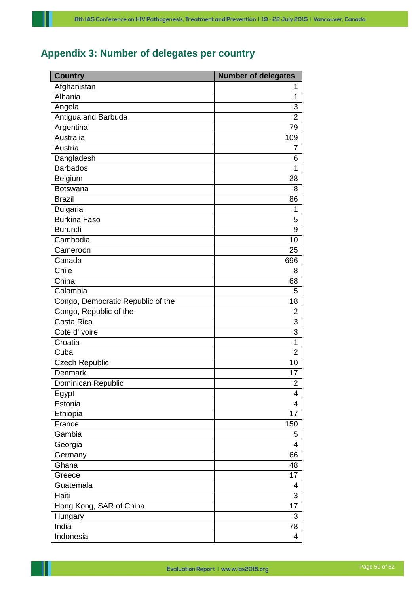# <span id="page-50-0"></span>**Appendix 3: Number of delegates per country**

| <b>Country</b>                    | <b>Number of delegates</b> |
|-----------------------------------|----------------------------|
| Afghanistan                       | 1                          |
| Albania                           | 1                          |
| Angola                            | 3                          |
| Antigua and Barbuda               | 2                          |
| Argentina                         | 79                         |
| <b>Australia</b>                  | 109                        |
| Austria                           | 7                          |
| Bangladesh                        | 6                          |
| <b>Barbados</b>                   | 1                          |
| Belgium                           | 28                         |
| <b>Botswana</b>                   | 8                          |
| <b>Brazil</b>                     | 86                         |
| <b>Bulgaria</b>                   | 1                          |
| <b>Burkina Faso</b>               | 5                          |
| <b>Burundi</b>                    | 9                          |
| Cambodia                          | 10                         |
| Cameroon                          | 25                         |
| Canada                            | 696                        |
| Chile                             | 8                          |
| China                             | 68                         |
| Colombia                          | 5                          |
| Congo, Democratic Republic of the | 18                         |
| Congo, Republic of the            | 2                          |
| Costa Rica                        | 3                          |
| Cote d'Ivoire                     | $\overline{3}$             |
| Croatia                           | 1                          |
| Cuba                              | $\overline{2}$             |
| <b>Czech Republic</b>             | 10                         |
| Denmark                           | 17                         |
| Dominican Republic                | $\overline{2}$             |
| Egypt                             | 4                          |
| Estonia                           | 4                          |
| Ethiopia                          | 17                         |
| France                            | 150                        |
| Gambia                            | 5                          |
| Georgia                           | 4                          |
| Germany                           | 66                         |
| Ghana                             | 48                         |
| Greece                            | 17                         |
| Guatemala                         | 4                          |
| Haiti                             | 3                          |
| Hong Kong, SAR of China           | 17                         |
| Hungary                           | 3                          |
| India                             | 78                         |
| Indonesia                         | 4                          |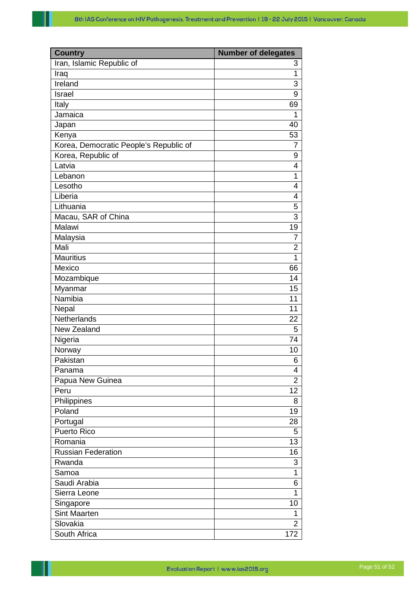| <b>Country</b>                         | <b>Number of delegates</b> |
|----------------------------------------|----------------------------|
| Iran, Islamic Republic of              | 3                          |
| Iraq                                   | 1                          |
| Ireland                                | 3                          |
| Israel                                 | 9                          |
| Italy                                  | 69                         |
| Jamaica                                | 1                          |
| Japan                                  | 40                         |
| Kenya                                  | 53                         |
| Korea, Democratic People's Republic of | $\overline{7}$             |
| Korea, Republic of                     | 9                          |
| Latvia                                 | 4                          |
| Lebanon                                | 1                          |
| Lesotho                                | 4                          |
| Liberia                                | 4                          |
| Lithuania                              | 5                          |
| Macau, SAR of China                    | $\overline{3}$             |
| Malawi                                 | 19                         |
|                                        | 7                          |
| Malaysia<br>Mali                       | $\overline{2}$             |
| <b>Mauritius</b>                       | 1                          |
| Mexico                                 |                            |
|                                        | 66                         |
| Mozambique                             | 14                         |
| Myanmar                                | 15                         |
| Namibia                                | 11<br>11                   |
| Nepal<br>Netherlands                   |                            |
|                                        | 22                         |
| New Zealand                            | 5                          |
| Nigeria                                | 74                         |
| Norway                                 | 10                         |
| Pakistan                               | 6                          |
| Panama                                 | 4                          |
| Papua New Guinea                       | 2                          |
| Peru                                   | 12                         |
| Philippines                            | 8                          |
| Poland                                 | 19                         |
| Portugal                               | 28                         |
| <b>Puerto Rico</b>                     | 5                          |
| Romania                                | 13                         |
| <b>Russian Federation</b>              | 16                         |
| Rwanda                                 | 3                          |
| Samoa                                  | 1                          |
| Saudi Arabia                           | 6                          |
| Sierra Leone                           | 1                          |
| Singapore                              | 10                         |
| <b>Sint Maarten</b>                    | 1                          |
| Slovakia                               | $\overline{2}$             |
| South Africa                           | 172                        |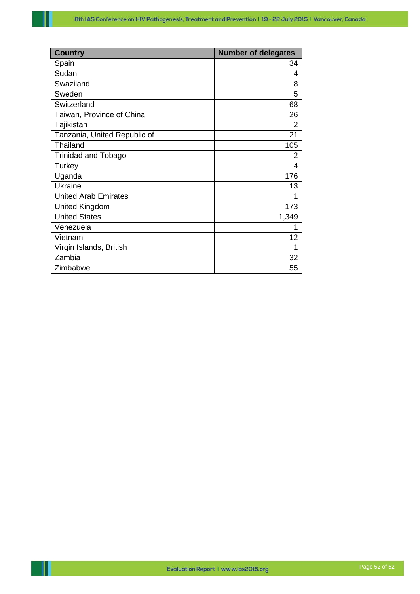| <b>Country</b>               | <b>Number of delegates</b> |
|------------------------------|----------------------------|
| Spain                        | 34                         |
| Sudan                        | 4                          |
| Swaziland                    | 8                          |
| Sweden                       | 5                          |
| Switzerland                  | 68                         |
| Taiwan, Province of China    | 26                         |
| Tajikistan                   | $\overline{2}$             |
| Tanzania, United Republic of | 21                         |
| Thailand                     | 105                        |
| <b>Trinidad and Tobago</b>   | 2                          |
| Turkey                       | 4                          |
| Uganda                       | 176                        |
| Ukraine                      | 13                         |
| <b>United Arab Emirates</b>  | 1                          |
| <b>United Kingdom</b>        | 173                        |
| <b>United States</b>         | 1,349                      |
| Venezuela                    |                            |
| Vietnam                      | 12                         |
| Virgin Islands, British      | 1                          |
| Zambia                       | 32                         |
| Zimbabwe                     | 55                         |